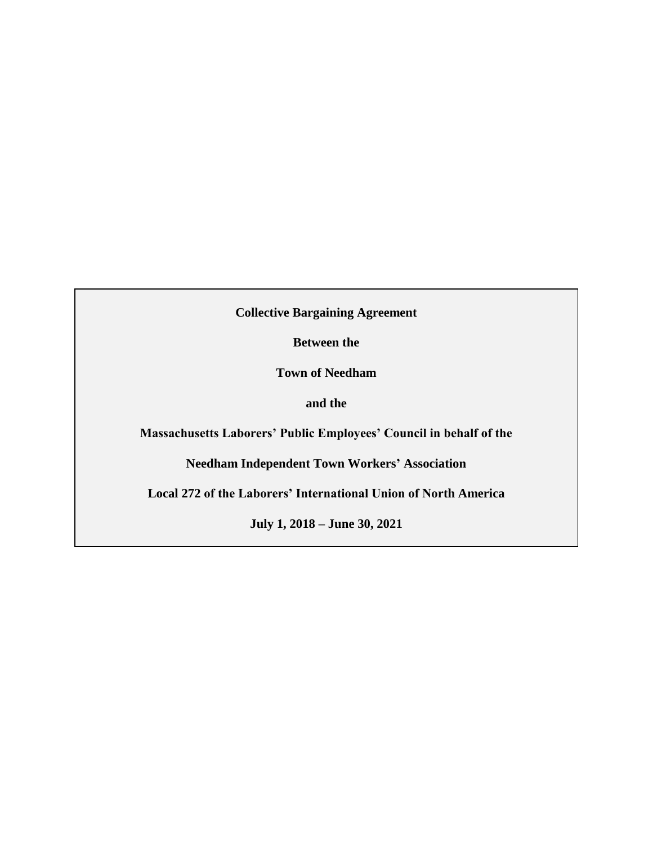**Collective Bargaining Agreement**

**Between the**

**Town of Needham**

**and the**

**Massachusetts Laborers' Public Employees' Council in behalf of the** 

**Needham Independent Town Workers' Association**

**Local 272 of the Laborers' International Union of North America**

**July 1, 2018 – June 30, 2021**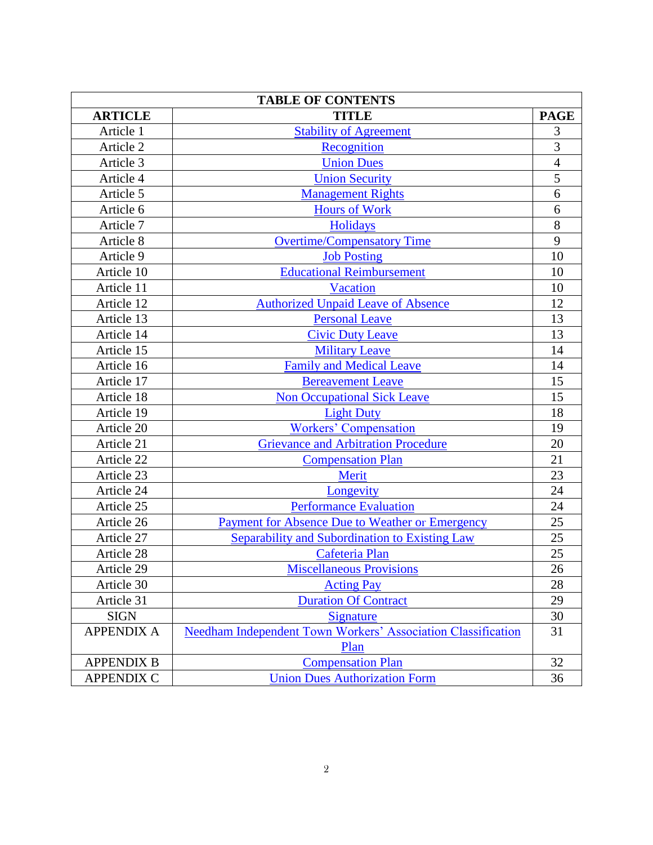| <b>TABLE OF CONTENTS</b> |                                                                     |                |  |  |  |  |  |  |  |
|--------------------------|---------------------------------------------------------------------|----------------|--|--|--|--|--|--|--|
| <b>ARTICLE</b>           | <b>TITLE</b>                                                        | <b>PAGE</b>    |  |  |  |  |  |  |  |
| Article 1                | <b>Stability of Agreement</b>                                       | 3              |  |  |  |  |  |  |  |
| Article 2                | Recognition                                                         | 3              |  |  |  |  |  |  |  |
| Article 3                | <b>Union Dues</b>                                                   | $\overline{4}$ |  |  |  |  |  |  |  |
| Article 4                | <b>Union Security</b>                                               | 5              |  |  |  |  |  |  |  |
| Article 5                | <b>Management Rights</b>                                            | 6              |  |  |  |  |  |  |  |
| Article 6                | <b>Hours of Work</b>                                                | 6              |  |  |  |  |  |  |  |
| Article 7                | <b>Holidays</b>                                                     | 8              |  |  |  |  |  |  |  |
| Article 8                | <b>Overtime/Compensatory Time</b>                                   | 9              |  |  |  |  |  |  |  |
| Article 9                | <b>Job Posting</b>                                                  | 10             |  |  |  |  |  |  |  |
| Article 10               | <b>Educational Reimbursement</b>                                    | 10             |  |  |  |  |  |  |  |
| Article 11               | <b>Vacation</b>                                                     | 10             |  |  |  |  |  |  |  |
| Article 12               | <b>Authorized Unpaid Leave of Absence</b>                           | 12             |  |  |  |  |  |  |  |
| Article 13               | <b>Personal Leave</b>                                               | 13             |  |  |  |  |  |  |  |
| Article 14               | <b>Civic Duty Leave</b>                                             | 13             |  |  |  |  |  |  |  |
| Article 15               | <b>Military Leave</b>                                               | 14             |  |  |  |  |  |  |  |
| Article 16               | <b>Family and Medical Leave</b>                                     | 14             |  |  |  |  |  |  |  |
| Article 17               | <b>Bereavement Leave</b>                                            | 15             |  |  |  |  |  |  |  |
| Article 18               | <b>Non Occupational Sick Leave</b>                                  | 15             |  |  |  |  |  |  |  |
| Article 19               | <b>Light Duty</b>                                                   | 18             |  |  |  |  |  |  |  |
| Article 20               | <b>Workers' Compensation</b>                                        | 19             |  |  |  |  |  |  |  |
| Article 21               | <b>Grievance and Arbitration Procedure</b>                          | 20             |  |  |  |  |  |  |  |
| Article 22               | <b>Compensation Plan</b>                                            | 21             |  |  |  |  |  |  |  |
| Article 23               | Merit                                                               | 23             |  |  |  |  |  |  |  |
| Article 24               | Longevity                                                           | 24             |  |  |  |  |  |  |  |
| Article 25               | <b>Performance Evaluation</b>                                       | 24             |  |  |  |  |  |  |  |
| Article 26               | Payment for Absence Due to Weather or Emergency                     | 25             |  |  |  |  |  |  |  |
| Article 27               | Separability and Subordination to Existing Law                      | 25             |  |  |  |  |  |  |  |
| Article 28               | Cafeteria Plan                                                      | 25             |  |  |  |  |  |  |  |
| Article 29               | <b>Miscellaneous Provisions</b>                                     | 26             |  |  |  |  |  |  |  |
| Article 30               | <b>Acting Pay</b>                                                   | 28             |  |  |  |  |  |  |  |
| Article 31               | <b>Duration Of Contract</b>                                         | 29             |  |  |  |  |  |  |  |
| <b>SIGN</b>              | Signature                                                           | 30             |  |  |  |  |  |  |  |
| <b>APPENDIX A</b>        | <b>Needham Independent Town Workers' Association Classification</b> | 31             |  |  |  |  |  |  |  |
|                          | Plan                                                                |                |  |  |  |  |  |  |  |
| <b>APPENDIX B</b>        | <b>Compensation Plan</b>                                            | 32             |  |  |  |  |  |  |  |
| <b>APPENDIX C</b>        | <b>Union Dues Authorization Form</b>                                | 36             |  |  |  |  |  |  |  |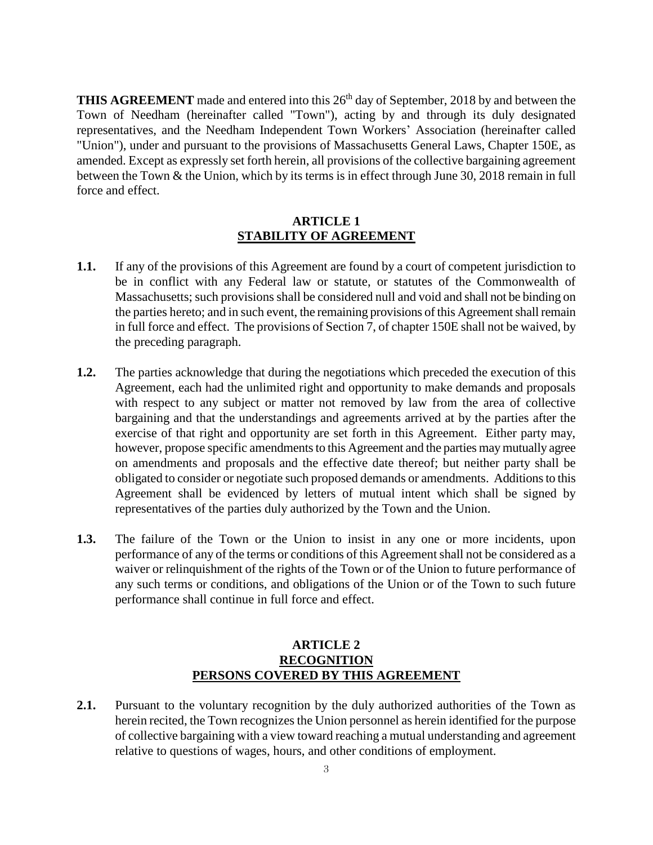**THIS AGREEMENT** made and entered into this 26<sup>th</sup> day of September, 2018 by and between the Town of Needham (hereinafter called "Town"), acting by and through its duly designated representatives, and the Needham Independent Town Workers' Association (hereinafter called "Union"), under and pursuant to the provisions of Massachusetts General Laws, Chapter 150E, as amended. Except as expressly set forth herein, all provisions of the collective bargaining agreement between the Town & the Union, which by its terms is in effect through June 30, 2018 remain in full force and effect.

### <span id="page-2-0"></span>**ARTICLE 1 STABILITY OF AGREEMENT**

- **1.1.** If any of the provisions of this Agreement are found by a court of competent jurisdiction to be in conflict with any Federal law or statute, or statutes of the Commonwealth of Massachusetts; such provisions shall be considered null and void and shall not be binding on the parties hereto; and in such event, the remaining provisions of this Agreement shall remain in full force and effect. The provisions of Section 7, of chapter 150E shall not be waived, by the preceding paragraph.
- **1.2.** The parties acknowledge that during the negotiations which preceded the execution of this Agreement, each had the unlimited right and opportunity to make demands and proposals with respect to any subject or matter not removed by law from the area of collective bargaining and that the understandings and agreements arrived at by the parties after the exercise of that right and opportunity are set forth in this Agreement. Either party may, however, propose specific amendments to this Agreement and the parties may mutually agree on amendments and proposals and the effective date thereof; but neither party shall be obligated to consider or negotiate such proposed demands or amendments. Additions to this Agreement shall be evidenced by letters of mutual intent which shall be signed by representatives of the parties duly authorized by the Town and the Union.
- **1.3.** The failure of the Town or the Union to insist in any one or more incidents, upon performance of any of the terms or conditions of this Agreement shall not be considered as a waiver or relinquishment of the rights of the Town or of the Union to future performance of any such terms or conditions, and obligations of the Union or of the Town to such future performance shall continue in full force and effect.

# **ARTICLE 2 RECOGNITION PERSONS COVERED BY THIS AGREEMENT**

<span id="page-2-1"></span>**2.1.** Pursuant to the voluntary recognition by the duly authorized authorities of the Town as herein recited, the Town recognizes the Union personnel as herein identified for the purpose of collective bargaining with a view toward reaching a mutual understanding and agreement relative to questions of wages, hours, and other conditions of employment.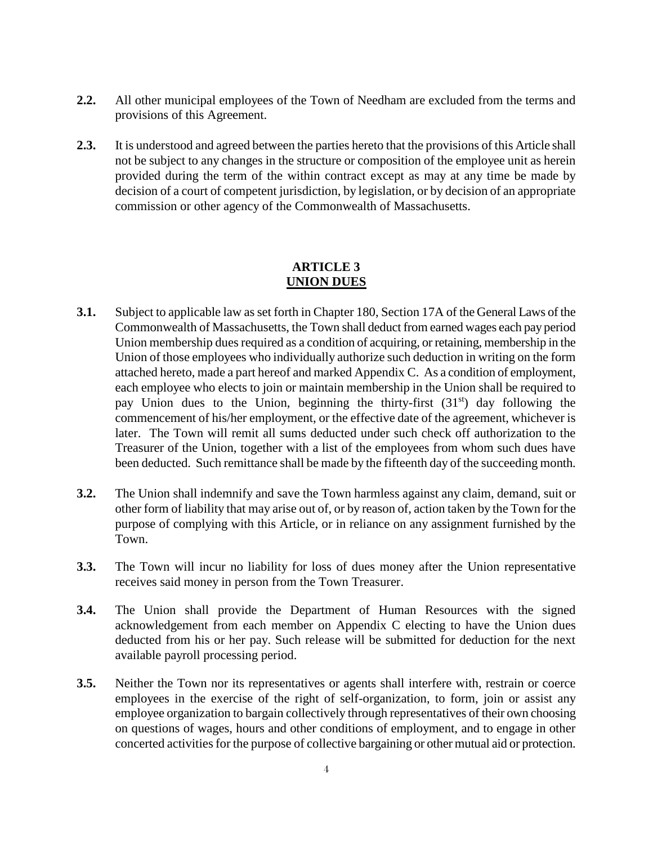- **2.2.** All other municipal employees of the Town of Needham are excluded from the terms and provisions of this Agreement.
- **2.3.** It is understood and agreed between the parties hereto that the provisions of this Article shall not be subject to any changes in the structure or composition of the employee unit as herein provided during the term of the within contract except as may at any time be made by decision of a court of competent jurisdiction, by legislation, or by decision of an appropriate commission or other agency of the Commonwealth of Massachusetts.

# **ARTICLE 3 UNION DUES**

- <span id="page-3-0"></span>**3.1.** Subject to applicable law as set forth in Chapter 180, Section 17A of the General Laws of the Commonwealth of Massachusetts, the Town shall deduct from earned wages each pay period Union membership dues required as a condition of acquiring, or retaining, membership in the Union of those employees who individually authorize such deduction in writing on the form attached hereto, made a part hereof and marked Appendix C. As a condition of employment, each employee who elects to join or maintain membership in the Union shall be required to pay Union dues to the Union, beginning the thirty-first  $(31<sup>st</sup>)$  day following the commencement of his/her employment, or the effective date of the agreement, whichever is later. The Town will remit all sums deducted under such check off authorization to the Treasurer of the Union, together with a list of the employees from whom such dues have been deducted. Such remittance shall be made by the fifteenth day of the succeeding month.
- **3.2.** The Union shall indemnify and save the Town harmless against any claim, demand, suit or other form of liability that may arise out of, or by reason of, action taken by the Town for the purpose of complying with this Article, or in reliance on any assignment furnished by the Town.
- **3.3.** The Town will incur no liability for loss of dues money after the Union representative receives said money in person from the Town Treasurer.
- **3.4.** The Union shall provide the Department of Human Resources with the signed acknowledgement from each member on Appendix C electing to have the Union dues deducted from his or her pay. Such release will be submitted for deduction for the next available payroll processing period.
- **3.5.** Neither the Town nor its representatives or agents shall interfere with, restrain or coerce employees in the exercise of the right of self-organization, to form, join or assist any employee organization to bargain collectively through representatives of their own choosing on questions of wages, hours and other conditions of employment, and to engage in other concerted activities for the purpose of collective bargaining or other mutual aid or protection.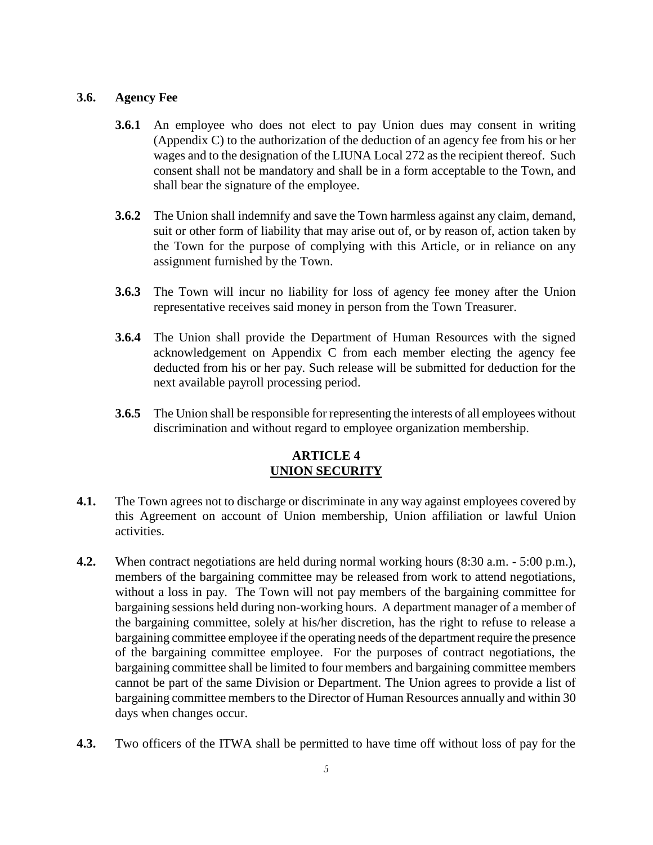### **3.6. Agency Fee**

- **3.6.1** An employee who does not elect to pay Union dues may consent in writing (Appendix C) to the authorization of the deduction of an agency fee from his or her wages and to the designation of the LIUNA Local 272 as the recipient thereof. Such consent shall not be mandatory and shall be in a form acceptable to the Town, and shall bear the signature of the employee.
- **3.6.2** The Union shall indemnify and save the Town harmless against any claim, demand, suit or other form of liability that may arise out of, or by reason of, action taken by the Town for the purpose of complying with this Article, or in reliance on any assignment furnished by the Town.
- **3.6.3** The Town will incur no liability for loss of agency fee money after the Union representative receives said money in person from the Town Treasurer.
- **3.6.4** The Union shall provide the Department of Human Resources with the signed acknowledgement on Appendix C from each member electing the agency fee deducted from his or her pay. Such release will be submitted for deduction for the next available payroll processing period.
- **3.6.5** The Union shall be responsible for representing the interests of all employees without discrimination and without regard to employee organization membership.

# **ARTICLE 4 UNION SECURITY**

- <span id="page-4-0"></span>**4.1.** The Town agrees not to discharge or discriminate in any way against employees covered by this Agreement on account of Union membership, Union affiliation or lawful Union activities.
- **4.2.** When contract negotiations are held during normal working hours (8:30 a.m. 5:00 p.m.), members of the bargaining committee may be released from work to attend negotiations, without a loss in pay. The Town will not pay members of the bargaining committee for bargaining sessions held during non-working hours. A department manager of a member of the bargaining committee, solely at his/her discretion, has the right to refuse to release a bargaining committee employee if the operating needs of the department require the presence of the bargaining committee employee. For the purposes of contract negotiations, the bargaining committee shall be limited to four members and bargaining committee members cannot be part of the same Division or Department. The Union agrees to provide a list of bargaining committee members to the Director of Human Resources annually and within 30 days when changes occur.
- **4.3.** Two officers of the ITWA shall be permitted to have time off without loss of pay for the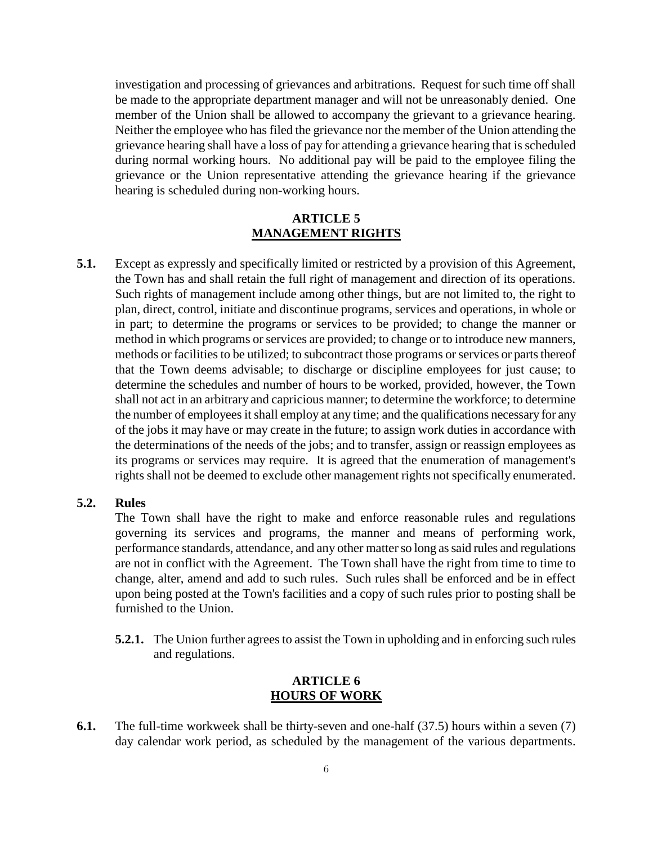investigation and processing of grievances and arbitrations. Request for such time off shall be made to the appropriate department manager and will not be unreasonably denied. One member of the Union shall be allowed to accompany the grievant to a grievance hearing. Neither the employee who has filed the grievance nor the member of the Union attending the grievance hearing shall have a loss of pay for attending a grievance hearing that is scheduled during normal working hours. No additional pay will be paid to the employee filing the grievance or the Union representative attending the grievance hearing if the grievance hearing is scheduled during non-working hours.

## **ARTICLE 5 MANAGEMENT RIGHTS**

<span id="page-5-0"></span>**5.1.** Except as expressly and specifically limited or restricted by a provision of this Agreement, the Town has and shall retain the full right of management and direction of its operations. Such rights of management include among other things, but are not limited to, the right to plan, direct, control, initiate and discontinue programs, services and operations, in whole or in part; to determine the programs or services to be provided; to change the manner or method in which programs or services are provided; to change or to introduce new manners, methods or facilities to be utilized; to subcontract those programs or services or parts thereof that the Town deems advisable; to discharge or discipline employees for just cause; to determine the schedules and number of hours to be worked, provided, however, the Town shall not act in an arbitrary and capricious manner; to determine the workforce; to determine the number of employees it shall employ at any time; and the qualifications necessary for any of the jobs it may have or may create in the future; to assign work duties in accordance with the determinations of the needs of the jobs; and to transfer, assign or reassign employees as its programs or services may require. It is agreed that the enumeration of management's rights shall not be deemed to exclude other management rights not specifically enumerated.

#### **5.2. Rules**

The Town shall have the right to make and enforce reasonable rules and regulations governing its services and programs, the manner and means of performing work, performance standards, attendance, and any other matter so long as said rules and regulations are not in conflict with the Agreement. The Town shall have the right from time to time to change, alter, amend and add to such rules. Such rules shall be enforced and be in effect upon being posted at the Town's facilities and a copy of such rules prior to posting shall be furnished to the Union.

**5.2.1.** The Union further agrees to assist the Town in upholding and in enforcing such rules and regulations.

## **ARTICLE 6 HOURS OF WORK**

<span id="page-5-1"></span>**6.1.** The full-time workweek shall be thirty-seven and one-half (37.5) hours within a seven (7) day calendar work period, as scheduled by the management of the various departments.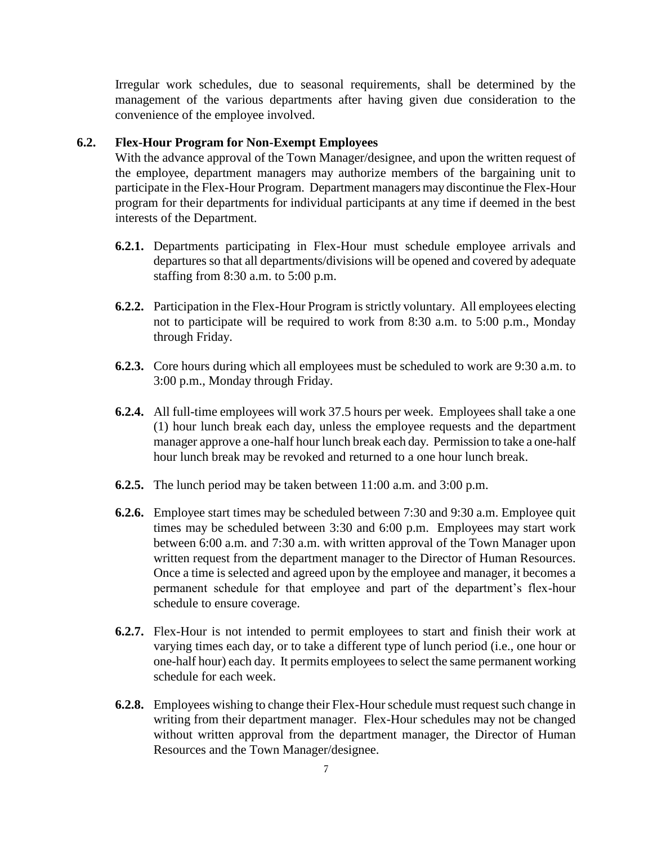Irregular work schedules, due to seasonal requirements, shall be determined by the management of the various departments after having given due consideration to the convenience of the employee involved.

## **6.2. Flex-Hour Program for Non-Exempt Employees**

With the advance approval of the Town Manager/designee, and upon the written request of the employee, department managers may authorize members of the bargaining unit to participate in the Flex-Hour Program. Department managers may discontinue the Flex-Hour program for their departments for individual participants at any time if deemed in the best interests of the Department.

- **6.2.1.** Departments participating in Flex-Hour must schedule employee arrivals and departures so that all departments/divisions will be opened and covered by adequate staffing from 8:30 a.m. to 5:00 p.m.
- **6.2.2.** Participation in the Flex-Hour Program is strictly voluntary. All employees electing not to participate will be required to work from 8:30 a.m. to 5:00 p.m., Monday through Friday.
- **6.2.3.** Core hours during which all employees must be scheduled to work are 9:30 a.m. to 3:00 p.m., Monday through Friday.
- **6.2.4.** All full-time employees will work 37.5 hours per week. Employees shall take a one (1) hour lunch break each day, unless the employee requests and the department manager approve a one-half hour lunch break each day. Permission to take a one-half hour lunch break may be revoked and returned to a one hour lunch break.
- **6.2.5.** The lunch period may be taken between 11:00 a.m. and 3:00 p.m.
- **6.2.6.** Employee start times may be scheduled between 7:30 and 9:30 a.m. Employee quit times may be scheduled between 3:30 and 6:00 p.m. Employees may start work between 6:00 a.m. and 7:30 a.m. with written approval of the Town Manager upon written request from the department manager to the Director of Human Resources. Once a time is selected and agreed upon by the employee and manager, it becomes a permanent schedule for that employee and part of the department's flex-hour schedule to ensure coverage.
- **6.2.7.** Flex-Hour is not intended to permit employees to start and finish their work at varying times each day, or to take a different type of lunch period (i.e., one hour or one-half hour) each day. It permits employees to select the same permanent working schedule for each week.
- **6.2.8.** Employees wishing to change their Flex-Hourschedule must request such change in writing from their department manager. Flex-Hour schedules may not be changed without written approval from the department manager, the Director of Human Resources and the Town Manager/designee.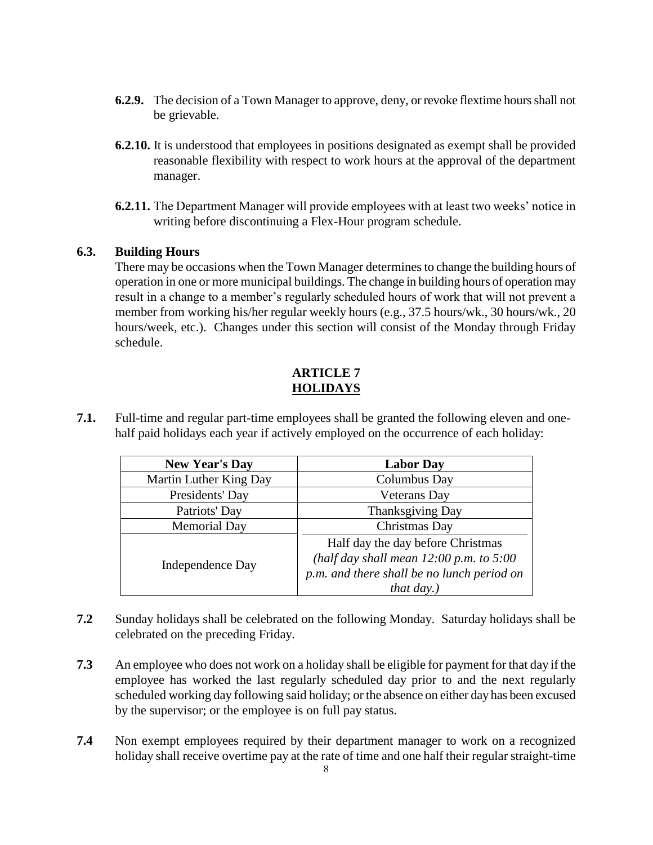- **6.2.9.** The decision of a Town Manager to approve, deny, or revoke flextime hours shall not be grievable.
- **6.2.10.** It is understood that employees in positions designated as exempt shall be provided reasonable flexibility with respect to work hours at the approval of the department manager.
- **6.2.11.** The Department Manager will provide employees with at least two weeks' notice in writing before discontinuing a Flex-Hour program schedule.

# **6.3. Building Hours**

There may be occasions when the Town Manager determines to change the building hours of operation in one or more municipal buildings. The change in building hours of operation may result in a change to a member's regularly scheduled hours of work that will not prevent a member from working his/her regular weekly hours (e.g., 37.5 hours/wk., 30 hours/wk., 20 hours/week, etc.). Changes under this section will consist of the Monday through Friday schedule.

# **ARTICLE 7 HOLIDAYS**

<span id="page-7-0"></span>**7.1.** Full-time and regular part-time employees shall be granted the following eleven and one half paid holidays each year if actively employed on the occurrence of each holiday:

| <b>New Year's Day</b>  | <b>Labor Day</b>                                                                 |  |  |  |  |
|------------------------|----------------------------------------------------------------------------------|--|--|--|--|
| Martin Luther King Day | Columbus Day                                                                     |  |  |  |  |
| Presidents' Day        | <b>Veterans</b> Day                                                              |  |  |  |  |
| Patriots' Day          | <b>Thanksgiving Day</b>                                                          |  |  |  |  |
| <b>Memorial Day</b>    | Christmas Day                                                                    |  |  |  |  |
|                        | Half day the day before Christmas<br>(half day shall mean $12:00$ p.m. to $5:00$ |  |  |  |  |
| Independence Day       | p.m. and there shall be no lunch period on                                       |  |  |  |  |
|                        | <i>that day.)</i>                                                                |  |  |  |  |

- **7.2** Sunday holidays shall be celebrated on the following Monday. Saturday holidays shall be celebrated on the preceding Friday.
- **7.3** An employee who does not work on a holiday shall be eligible for payment for that day if the employee has worked the last regularly scheduled day prior to and the next regularly scheduled working day following said holiday; or the absence on either day has been excused by the supervisor; or the employee is on full pay status.
- **7.4** Non exempt employees required by their department manager to work on a recognized holiday shall receive overtime pay at the rate of time and one half their regular straight-time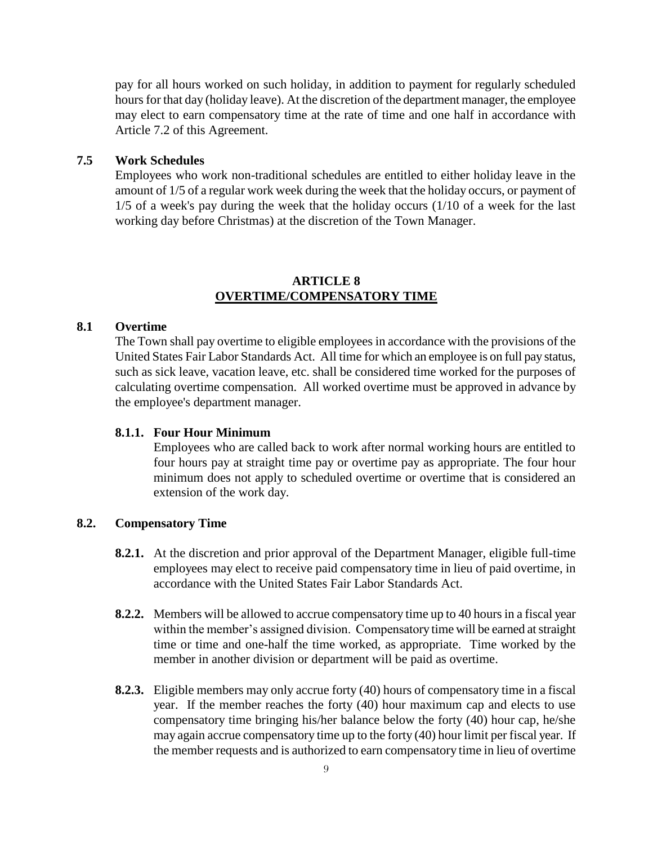pay for all hours worked on such holiday, in addition to payment for regularly scheduled hours for that day (holiday leave). At the discretion of the department manager, the employee may elect to earn compensatory time at the rate of time and one half in accordance with Article 7.2 of this Agreement.

### **7.5 Work Schedules**

Employees who work non-traditional schedules are entitled to either holiday leave in the amount of 1/5 of a regular work week during the week that the holiday occurs, or payment of 1/5 of a week's pay during the week that the holiday occurs (1/10 of a week for the last working day before Christmas) at the discretion of the Town Manager.

## **ARTICLE 8 OVERTIME/COMPENSATORY TIME**

#### <span id="page-8-0"></span>**8.1 Overtime**

The Town shall pay overtime to eligible employees in accordance with the provisions of the United States Fair Labor Standards Act. All time for which an employee is on full pay status, such as sick leave, vacation leave, etc. shall be considered time worked for the purposes of calculating overtime compensation. All worked overtime must be approved in advance by the employee's department manager.

#### **8.1.1. Four Hour Minimum**

Employees who are called back to work after normal working hours are entitled to four hours pay at straight time pay or overtime pay as appropriate. The four hour minimum does not apply to scheduled overtime or overtime that is considered an extension of the work day.

### **8.2. Compensatory Time**

- **8.2.1.** At the discretion and prior approval of the Department Manager, eligible full-time employees may elect to receive paid compensatory time in lieu of paid overtime, in accordance with the United States Fair Labor Standards Act.
- **8.2.2.** Members will be allowed to accrue compensatory time up to 40 hours in a fiscal year within the member's assigned division. Compensatory time will be earned at straight time or time and one-half the time worked, as appropriate. Time worked by the member in another division or department will be paid as overtime.
- **8.2.3.** Eligible members may only accrue forty (40) hours of compensatory time in a fiscal year. If the member reaches the forty (40) hour maximum cap and elects to use compensatory time bringing his/her balance below the forty (40) hour cap, he/she may again accrue compensatory time up to the forty (40) hour limit per fiscal year. If the member requests and is authorized to earn compensatory time in lieu of overtime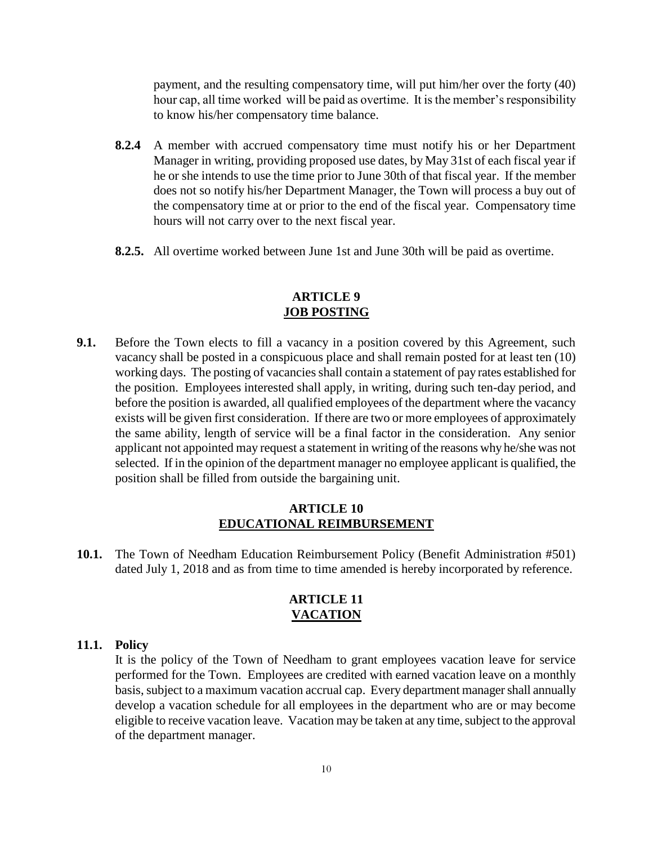payment, and the resulting compensatory time, will put him/her over the forty (40) hour cap, all time worked will be paid as overtime. It is the member's responsibility to know his/her compensatory time balance.

- **8.2.4** A member with accrued compensatory time must notify his or her Department Manager in writing, providing proposed use dates, by May 31st of each fiscal year if he or she intends to use the time prior to June 30th of that fiscal year. If the member does not so notify his/her Department Manager, the Town will process a buy out of the compensatory time at or prior to the end of the fiscal year. Compensatory time hours will not carry over to the next fiscal year.
- **8.2.5.** All overtime worked between June 1st and June 30th will be paid as overtime.

### **ARTICLE 9 JOB POSTING**

<span id="page-9-0"></span>**9.1.** Before the Town elects to fill a vacancy in a position covered by this Agreement, such vacancy shall be posted in a conspicuous place and shall remain posted for at least ten (10) working days. The posting of vacancies shall contain a statement of pay rates established for the position. Employees interested shall apply, in writing, during such ten-day period, and before the position is awarded, all qualified employees of the department where the vacancy exists will be given first consideration. If there are two or more employees of approximately the same ability, length of service will be a final factor in the consideration. Any senior applicant not appointed may request a statement in writing of the reasons why he/she was not selected. If in the opinion of the department manager no employee applicant is qualified, the position shall be filled from outside the bargaining unit.

#### **ARTICLE 10 EDUCATIONAL REIMBURSEMENT**

<span id="page-9-2"></span><span id="page-9-1"></span>**10.1.** The Town of Needham Education Reimbursement Policy (Benefit Administration #501) dated July 1, 2018 and as from time to time amended is hereby incorporated by reference.

# **ARTICLE 11 VACATION**

### **11.1. Policy**

It is the policy of the Town of Needham to grant employees vacation leave for service performed for the Town. Employees are credited with earned vacation leave on a monthly basis, subject to a maximum vacation accrual cap. Every department manager shall annually develop a vacation schedule for all employees in the department who are or may become eligible to receive vacation leave. Vacation may be taken at any time, subject to the approval of the department manager.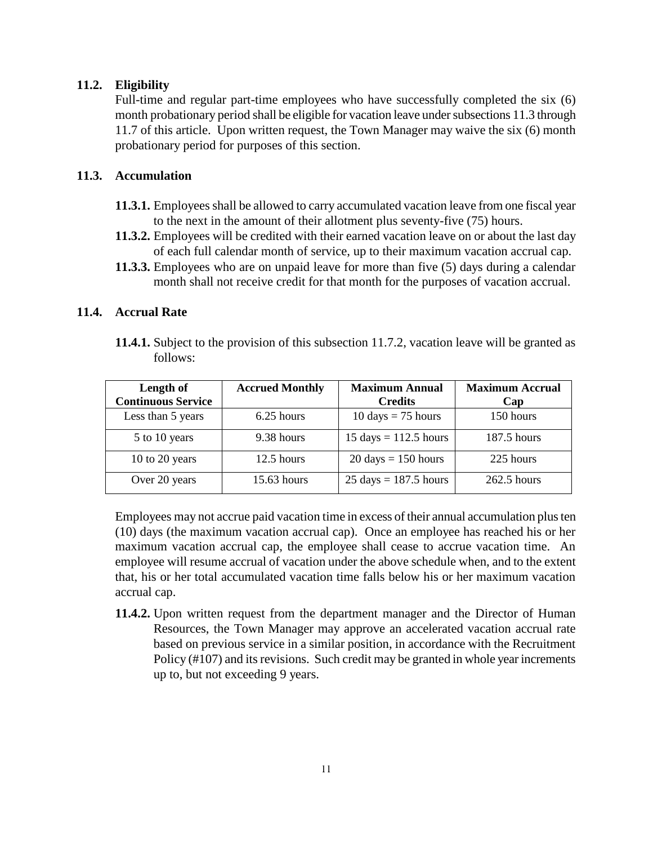## **11.2. Eligibility**

Full-time and regular part-time employees who have successfully completed the six (6) month probationary period shall be eligible for vacation leave under subsections 11.3 through 11.7 of this article. Upon written request, the Town Manager may waive the six (6) month probationary period for purposes of this section.

## **11.3. Accumulation**

- **11.3.1.** Employees shall be allowed to carry accumulated vacation leave from one fiscal year to the next in the amount of their allotment plus seventy-five (75) hours.
- **11.3.2.** Employees will be credited with their earned vacation leave on or about the last day of each full calendar month of service, up to their maximum vacation accrual cap.
- **11.3.3.** Employees who are on unpaid leave for more than five (5) days during a calendar month shall not receive credit for that month for the purposes of vacation accrual.

## **11.4. Accrual Rate**

**11.4.1.** Subject to the provision of this subsection 11.7.2, vacation leave will be granted as follows:

| Length of                 | <b>Accrued Monthly</b> | <b>Maximum Annual</b>                   | <b>Maximum Accrual</b> |
|---------------------------|------------------------|-----------------------------------------|------------------------|
| <b>Continuous Service</b> |                        | <b>Credits</b>                          | Cap                    |
| Less than 5 years         | 6.25 hours             | $10 \text{ days} = 75 \text{ hours}$    | 150 hours              |
| 5 to 10 years             | 9.38 hours             | $15 \text{ days} = 112.5 \text{ hours}$ | 187.5 hours            |
| 10 to 20 years            | $12.5$ hours           | $20 \text{ days} = 150 \text{ hours}$   | 225 hours              |
| Over 20 years             | 15.63 hours            | $25 \text{ days} = 187.5 \text{ hours}$ | 262.5 hours            |

Employees may not accrue paid vacation time in excess of their annual accumulation plus ten (10) days (the maximum vacation accrual cap). Once an employee has reached his or her maximum vacation accrual cap, the employee shall cease to accrue vacation time. An employee will resume accrual of vacation under the above schedule when, and to the extent that, his or her total accumulated vacation time falls below his or her maximum vacation accrual cap.

**11.4.2.** Upon written request from the department manager and the Director of Human Resources, the Town Manager may approve an accelerated vacation accrual rate based on previous service in a similar position, in accordance with the Recruitment Policy (#107) and its revisions. Such credit may be granted in whole year increments up to, but not exceeding 9 years.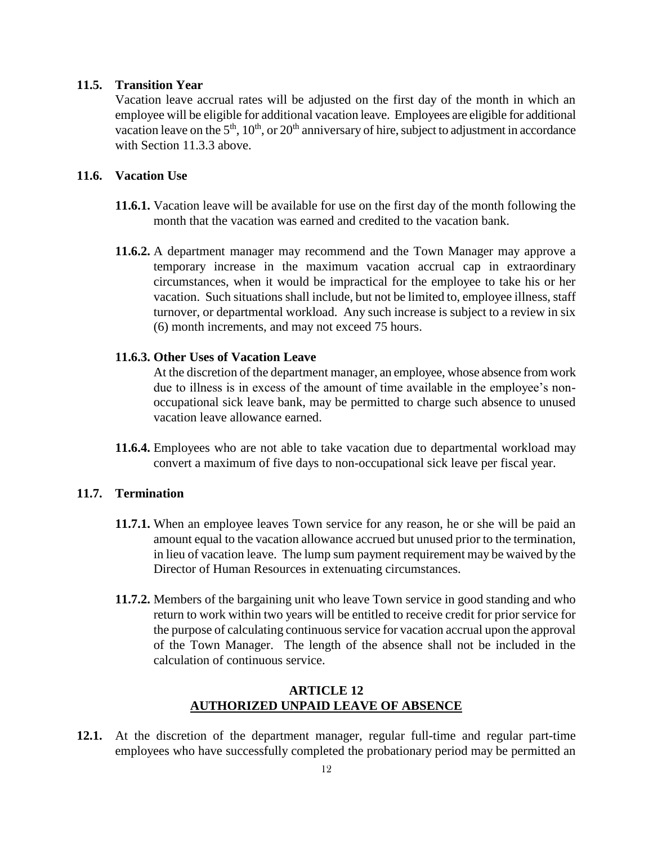## **11.5. Transition Year**

Vacation leave accrual rates will be adjusted on the first day of the month in which an employee will be eligible for additional vacation leave. Employees are eligible for additional vacation leave on the  $5<sup>th</sup>$ ,  $10<sup>th</sup>$ , or  $20<sup>th</sup>$  anniversary of hire, subject to adjustment in accordance with Section 11.3.3 above.

## **11.6. Vacation Use**

- **11.6.1.** Vacation leave will be available for use on the first day of the month following the month that the vacation was earned and credited to the vacation bank.
- **11.6.2.** A department manager may recommend and the Town Manager may approve a temporary increase in the maximum vacation accrual cap in extraordinary circumstances, when it would be impractical for the employee to take his or her vacation. Such situations shall include, but not be limited to, employee illness, staff turnover, or departmental workload. Any such increase is subject to a review in six (6) month increments, and may not exceed 75 hours.

#### **11.6.3. Other Uses of Vacation Leave**

At the discretion of the department manager, an employee, whose absence from work due to illness is in excess of the amount of time available in the employee's nonoccupational sick leave bank, may be permitted to charge such absence to unused vacation leave allowance earned.

**11.6.4.** Employees who are not able to take vacation due to departmental workload may convert a maximum of five days to non-occupational sick leave per fiscal year.

#### **11.7. Termination**

- **11.7.1.** When an employee leaves Town service for any reason, he or she will be paid an amount equal to the vacation allowance accrued but unused prior to the termination, in lieu of vacation leave. The lump sum payment requirement may be waived by the Director of Human Resources in extenuating circumstances.
- **11.7.2.** Members of the bargaining unit who leave Town service in good standing and who return to work within two years will be entitled to receive credit for prior service for the purpose of calculating continuous service for vacation accrual upon the approval of the Town Manager. The length of the absence shall not be included in the calculation of continuous service.

#### <span id="page-11-0"></span>**ARTICLE 12 AUTHORIZED UNPAID LEAVE OF ABSENCE**

**12.1.** At the discretion of the department manager, regular full-time and regular part-time employees who have successfully completed the probationary period may be permitted an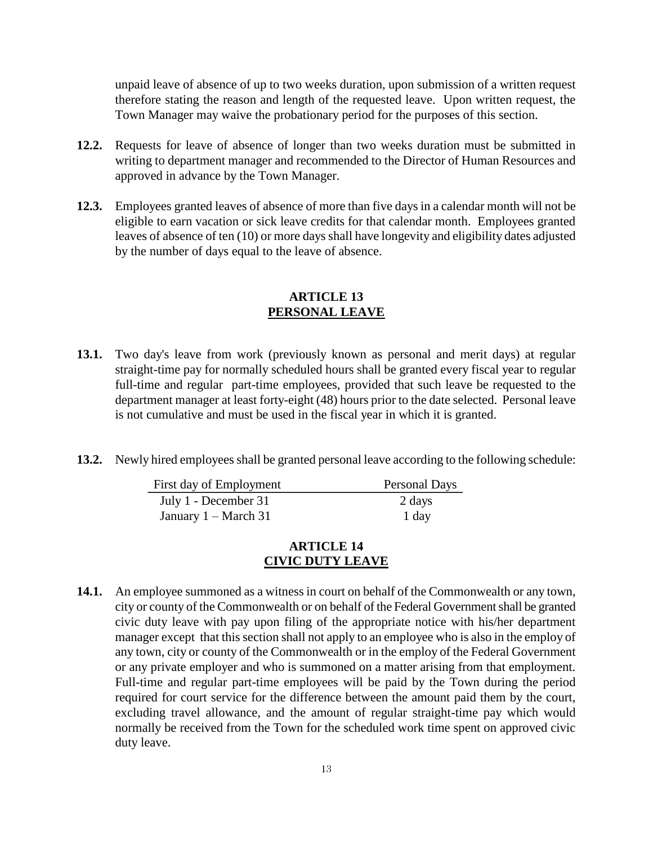unpaid leave of absence of up to two weeks duration, upon submission of a written request therefore stating the reason and length of the requested leave. Upon written request, the Town Manager may waive the probationary period for the purposes of this section.

- **12.2.** Requests for leave of absence of longer than two weeks duration must be submitted in writing to department manager and recommended to the Director of Human Resources and approved in advance by the Town Manager.
- **12.3.** Employees granted leaves of absence of more than five days in a calendar month will not be eligible to earn vacation or sick leave credits for that calendar month. Employees granted leaves of absence of ten (10) or more days shall have longevity and eligibility dates adjusted by the number of days equal to the leave of absence.

### **ARTICLE 13 PERSONAL LEAVE**

- <span id="page-12-0"></span>**13.1.** Two day's leave from work (previously known as personal and merit days) at regular straight-time pay for normally scheduled hours shall be granted every fiscal year to regular full-time and regular part-time employees, provided that such leave be requested to the department manager at least forty-eight (48) hours prior to the date selected. Personal leave is not cumulative and must be used in the fiscal year in which it is granted.
- **13.2.** Newly hired employees shall be granted personal leave according to the following schedule:

| First day of Employment        | <b>Personal Days</b> |
|--------------------------------|----------------------|
| July 1 - December 31           | 2 days               |
| January $1 - \text{March } 31$ | 1 day                |

#### **ARTICLE 14 CIVIC DUTY LEAVE**

<span id="page-12-1"></span>**14.1.** An employee summoned as a witness in court on behalf of the Commonwealth or any town, city or county of the Commonwealth or on behalf of the Federal Government shall be granted civic duty leave with pay upon filing of the appropriate notice with his/her department manager except that this section shall not apply to an employee who is also in the employ of any town, city or county of the Commonwealth or in the employ of the Federal Government or any private employer and who is summoned on a matter arising from that employment. Full-time and regular part-time employees will be paid by the Town during the period required for court service for the difference between the amount paid them by the court, excluding travel allowance, and the amount of regular straight-time pay which would normally be received from the Town for the scheduled work time spent on approved civic duty leave.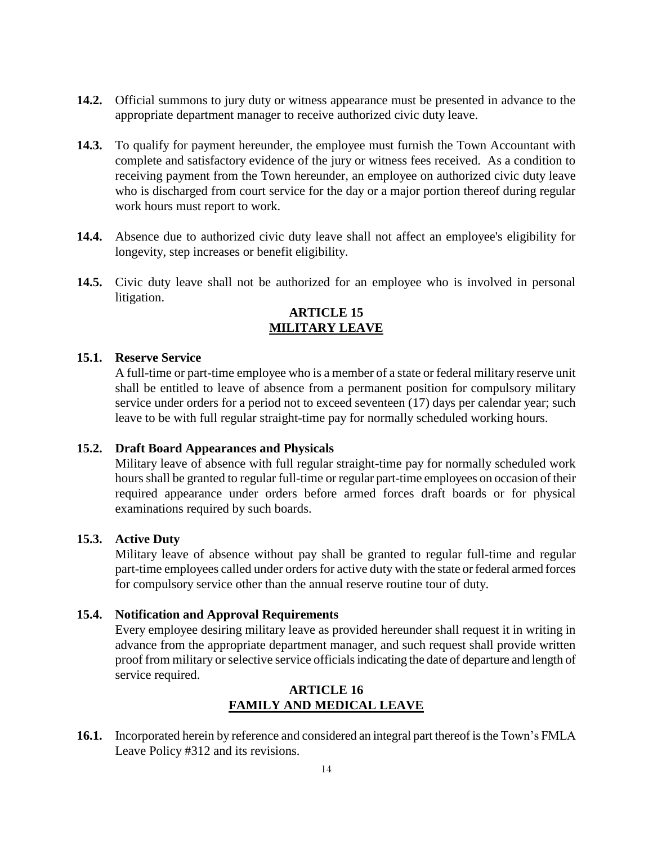- **14.2.** Official summons to jury duty or witness appearance must be presented in advance to the appropriate department manager to receive authorized civic duty leave.
- **14.3.** To qualify for payment hereunder, the employee must furnish the Town Accountant with complete and satisfactory evidence of the jury or witness fees received. As a condition to receiving payment from the Town hereunder, an employee on authorized civic duty leave who is discharged from court service for the day or a major portion thereof during regular work hours must report to work.
- **14.4.** Absence due to authorized civic duty leave shall not affect an employee's eligibility for longevity, step increases or benefit eligibility.
- <span id="page-13-0"></span>**14.5.** Civic duty leave shall not be authorized for an employee who is involved in personal litigation.

# **ARTICLE 15 MILITARY LEAVE**

### **15.1. Reserve Service**

A full-time or part-time employee who is a member of a state or federal military reserve unit shall be entitled to leave of absence from a permanent position for compulsory military service under orders for a period not to exceed seventeen (17) days per calendar year; such leave to be with full regular straight-time pay for normally scheduled working hours.

## **15.2. Draft Board Appearances and Physicals**

Military leave of absence with full regular straight-time pay for normally scheduled work hours shall be granted to regular full-time or regular part-time employees on occasion of their required appearance under orders before armed forces draft boards or for physical examinations required by such boards.

## **15.3. Active Duty**

Military leave of absence without pay shall be granted to regular full-time and regular part-time employees called under orders for active duty with the state or federal armed forces for compulsory service other than the annual reserve routine tour of duty.

#### **15.4. Notification and Approval Requirements**

Every employee desiring military leave as provided hereunder shall request it in writing in advance from the appropriate department manager, and such request shall provide written proof from military or selective service officials indicating the date of departure and length of service required.

## **ARTICLE 16 FAMILY AND MEDICAL LEAVE**

<span id="page-13-1"></span>**16.1.** Incorporated herein by reference and considered an integral part thereof is the Town's FMLA Leave Policy #312 and its revisions.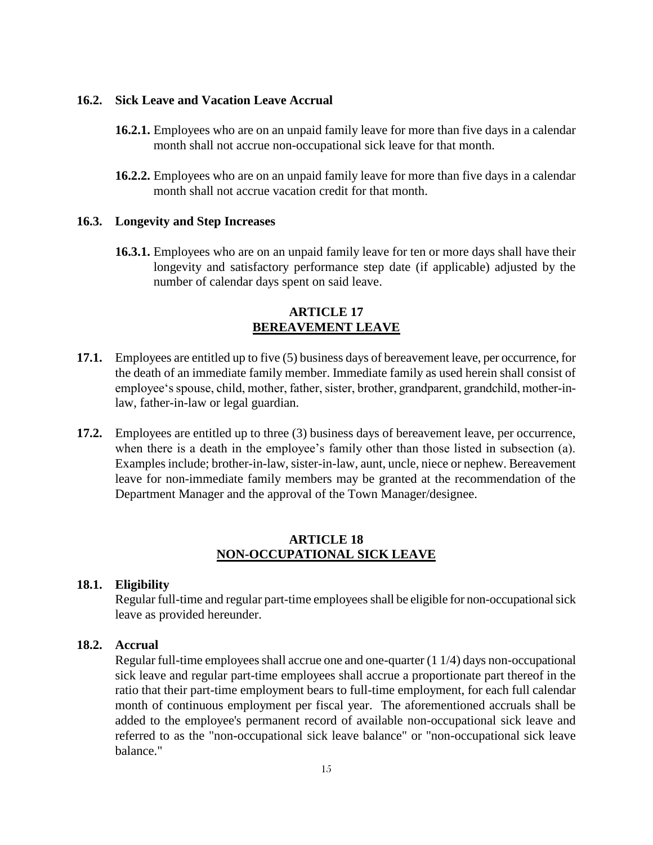### **16.2. Sick Leave and Vacation Leave Accrual**

- **16.2.1.** Employees who are on an unpaid family leave for more than five days in a calendar month shall not accrue non-occupational sick leave for that month.
- **16.2.2.** Employees who are on an unpaid family leave for more than five days in a calendar month shall not accrue vacation credit for that month.

#### **16.3. Longevity and Step Increases**

**16.3.1.** Employees who are on an unpaid family leave for ten or more days shall have their longevity and satisfactory performance step date (if applicable) adjusted by the number of calendar days spent on said leave.

### **ARTICLE 17 BEREAVEMENT LEAVE**

- <span id="page-14-0"></span>**17.1.** Employees are entitled up to five (5) business days of bereavement leave, per occurrence, for the death of an immediate family member. Immediate family as used herein shall consist of employee's spouse, child, mother, father, sister, brother, grandparent, grandchild, mother-inlaw, father-in-law or legal guardian.
- **17.2.** Employees are entitled up to three (3) business days of bereavement leave, per occurrence, when there is a death in the employee's family other than those listed in subsection (a). Examples include; brother-in-law, sister-in-law, aunt, uncle, niece or nephew. Bereavement leave for non-immediate family members may be granted at the recommendation of the Department Manager and the approval of the Town Manager/designee.

### **ARTICLE 18 NON-OCCUPATIONAL SICK LEAVE**

#### <span id="page-14-1"></span>**18.1. Eligibility**

Regular full-time and regular part-time employees shall be eligible for non-occupational sick leave as provided hereunder.

### **18.2. Accrual**

Regular full-time employees shall accrue one and one-quarter (1 1/4) days non-occupational sick leave and regular part-time employees shall accrue a proportionate part thereof in the ratio that their part-time employment bears to full-time employment, for each full calendar month of continuous employment per fiscal year. The aforementioned accruals shall be added to the employee's permanent record of available non-occupational sick leave and referred to as the "non-occupational sick leave balance" or "non-occupational sick leave balance."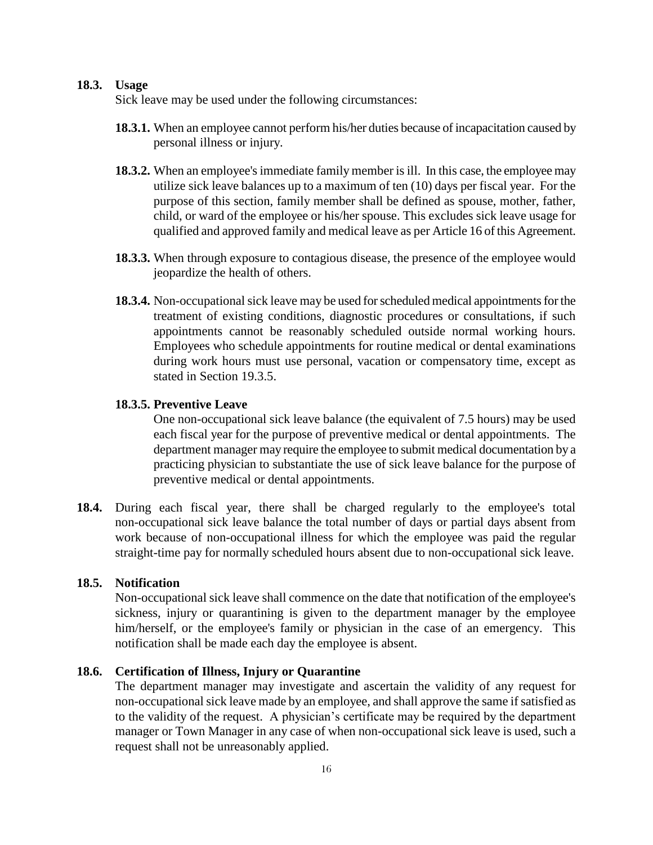### **18.3. Usage**

Sick leave may be used under the following circumstances:

- **18.3.1.** When an employee cannot perform his/her duties because of incapacitation caused by personal illness or injury.
- **18.3.2.** When an employee's immediate family member is ill. In this case, the employee may utilize sick leave balances up to a maximum of ten (10) days per fiscal year. For the purpose of this section, family member shall be defined as spouse, mother, father, child, or ward of the employee or his/her spouse. This excludes sick leave usage for qualified and approved family and medical leave as per Article 16 of this Agreement.
- **18.3.3.** When through exposure to contagious disease, the presence of the employee would jeopardize the health of others.
- **18.3.4.** Non-occupational sick leave may be used for scheduled medical appointments for the treatment of existing conditions, diagnostic procedures or consultations, if such appointments cannot be reasonably scheduled outside normal working hours. Employees who schedule appointments for routine medical or dental examinations during work hours must use personal, vacation or compensatory time, except as stated in Section 19.3.5.

#### **18.3.5. Preventive Leave**

One non-occupational sick leave balance (the equivalent of 7.5 hours) may be used each fiscal year for the purpose of preventive medical or dental appointments. The department manager may require the employee to submit medical documentation by a practicing physician to substantiate the use of sick leave balance for the purpose of preventive medical or dental appointments.

**18.4.** During each fiscal year, there shall be charged regularly to the employee's total non-occupational sick leave balance the total number of days or partial days absent from work because of non-occupational illness for which the employee was paid the regular straight-time pay for normally scheduled hours absent due to non-occupational sick leave.

### **18.5. Notification**

Non-occupational sick leave shall commence on the date that notification of the employee's sickness, injury or quarantining is given to the department manager by the employee him/herself, or the employee's family or physician in the case of an emergency. This notification shall be made each day the employee is absent.

#### **18.6. Certification of Illness, Injury or Quarantine**

The department manager may investigate and ascertain the validity of any request for non-occupational sick leave made by an employee, and shall approve the same if satisfied as to the validity of the request. A physician's certificate may be required by the department manager or Town Manager in any case of when non-occupational sick leave is used, such a request shall not be unreasonably applied.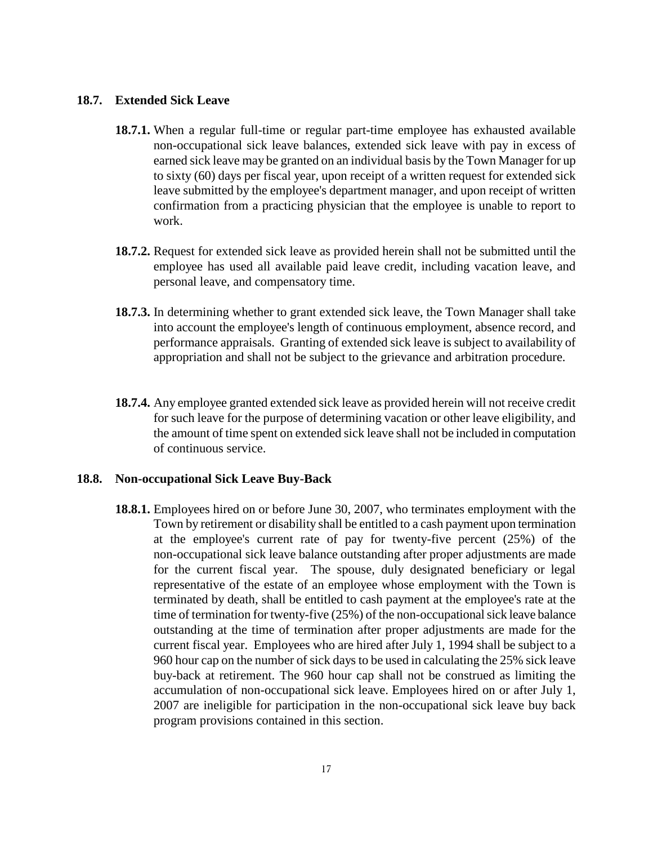#### **18.7. Extended Sick Leave**

- **18.7.1.** When a regular full-time or regular part-time employee has exhausted available non-occupational sick leave balances, extended sick leave with pay in excess of earned sick leave may be granted on an individual basis by the Town Manager for up to sixty (60) days per fiscal year, upon receipt of a written request for extended sick leave submitted by the employee's department manager, and upon receipt of written confirmation from a practicing physician that the employee is unable to report to work.
- **18.7.2.** Request for extended sick leave as provided herein shall not be submitted until the employee has used all available paid leave credit, including vacation leave, and personal leave, and compensatory time.
- **18.7.3.** In determining whether to grant extended sick leave, the Town Manager shall take into account the employee's length of continuous employment, absence record, and performance appraisals. Granting of extended sick leave is subject to availability of appropriation and shall not be subject to the grievance and arbitration procedure.
- **18.7.4.** Any employee granted extended sick leave as provided herein will not receive credit for such leave for the purpose of determining vacation or other leave eligibility, and the amount of time spent on extended sick leave shall not be included in computation of continuous service.

#### **18.8. Non-occupational Sick Leave Buy-Back**

**18.8.1.** Employees hired on or before June 30, 2007, who terminates employment with the Town by retirement or disability shall be entitled to a cash payment upon termination at the employee's current rate of pay for twenty-five percent (25%) of the non-occupational sick leave balance outstanding after proper adjustments are made for the current fiscal year. The spouse, duly designated beneficiary or legal representative of the estate of an employee whose employment with the Town is terminated by death, shall be entitled to cash payment at the employee's rate at the time of termination for twenty-five (25%) of the non-occupational sick leave balance outstanding at the time of termination after proper adjustments are made for the current fiscal year. Employees who are hired after July 1, 1994 shall be subject to a 960 hour cap on the number of sick days to be used in calculating the 25% sick leave buy-back at retirement. The 960 hour cap shall not be construed as limiting the accumulation of non-occupational sick leave. Employees hired on or after July 1, 2007 are ineligible for participation in the non-occupational sick leave buy back program provisions contained in this section.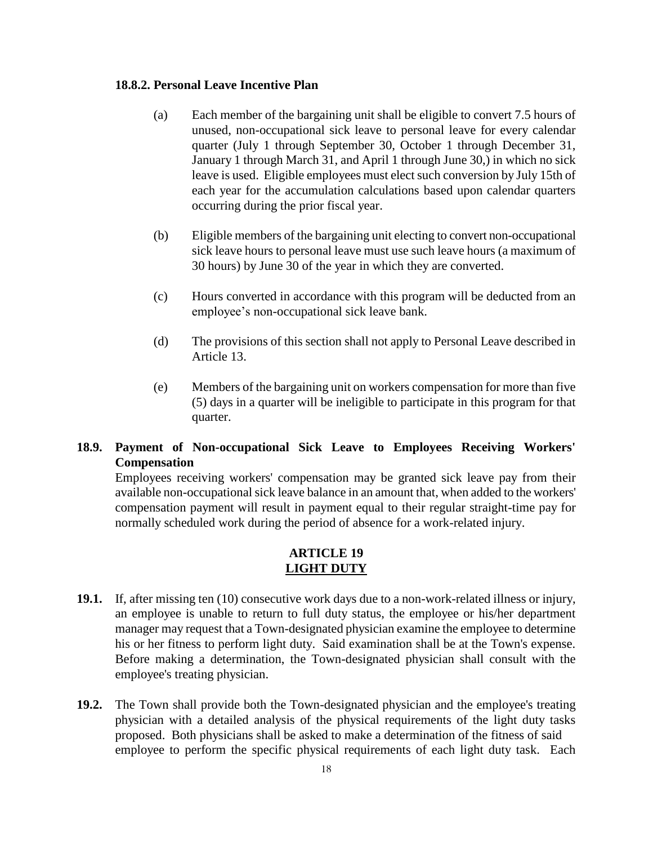#### **18.8.2. Personal Leave Incentive Plan**

- (a) Each member of the bargaining unit shall be eligible to convert 7.5 hours of unused, non-occupational sick leave to personal leave for every calendar quarter (July 1 through September 30, October 1 through December 31, January 1 through March 31, and April 1 through June 30,) in which no sick leave is used. Eligible employees must elect such conversion by July 15th of each year for the accumulation calculations based upon calendar quarters occurring during the prior fiscal year.
- (b) Eligible members of the bargaining unit electing to convert non-occupational sick leave hours to personal leave must use such leave hours (a maximum of 30 hours) by June 30 of the year in which they are converted.
- (c) Hours converted in accordance with this program will be deducted from an employee's non-occupational sick leave bank.
- (d) The provisions of this section shall not apply to Personal Leave described in Article 13.
- (e) Members of the bargaining unit on workers compensation for more than five (5) days in a quarter will be ineligible to participate in this program for that quarter.

# **18.9. Payment of Non-occupational Sick Leave to Employees Receiving Workers' Compensation**

Employees receiving workers' compensation may be granted sick leave pay from their available non-occupational sick leave balance in an amount that, when added to the workers' compensation payment will result in payment equal to their regular straight-time pay for normally scheduled work during the period of absence for a work-related injury.

## **ARTICLE 19 LIGHT DUTY**

- <span id="page-17-0"></span>**19.1.** If, after missing ten (10) consecutive work days due to a non-work-related illness or injury, an employee is unable to return to full duty status, the employee or his/her department manager may request that a Town-designated physician examine the employee to determine his or her fitness to perform light duty. Said examination shall be at the Town's expense. Before making a determination, the Town-designated physician shall consult with the employee's treating physician.
- **19.2.** The Town shall provide both the Town-designated physician and the employee's treating physician with a detailed analysis of the physical requirements of the light duty tasks proposed. Both physicians shall be asked to make a determination of the fitness of said employee to perform the specific physical requirements of each light duty task. Each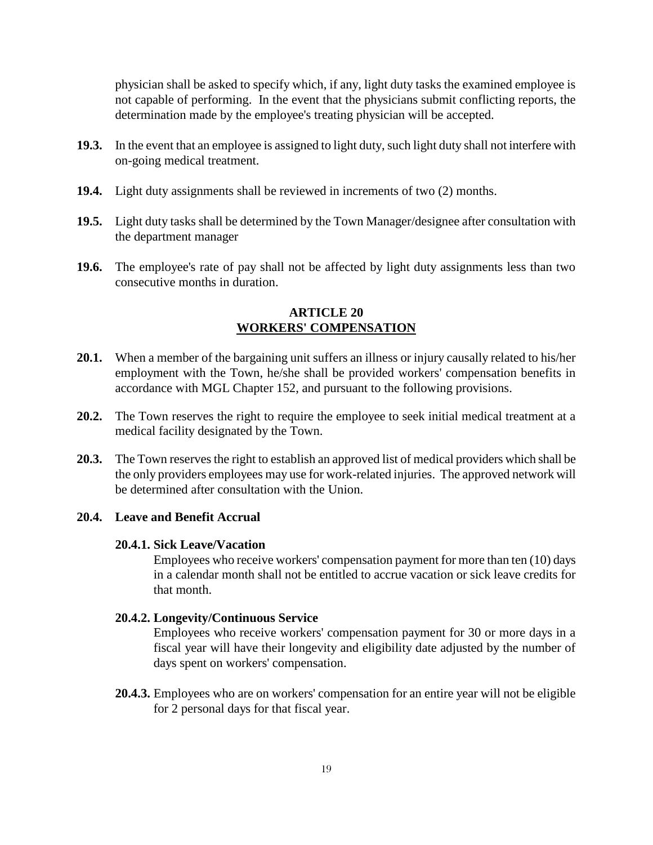physician shall be asked to specify which, if any, light duty tasks the examined employee is not capable of performing. In the event that the physicians submit conflicting reports, the determination made by the employee's treating physician will be accepted.

- **19.3.** In the event that an employee is assigned to light duty, such light duty shall not interfere with on-going medical treatment.
- **19.4.** Light duty assignments shall be reviewed in increments of two (2) months.
- **19.5.** Light duty tasks shall be determined by the Town Manager/designee after consultation with the department manager
- <span id="page-18-0"></span>**19.6.** The employee's rate of pay shall not be affected by light duty assignments less than two consecutive months in duration.

### **ARTICLE 20 WORKERS' COMPENSATION**

- **20.1.** When a member of the bargaining unit suffers an illness or injury causally related to his/her employment with the Town, he/she shall be provided workers' compensation benefits in accordance with MGL Chapter 152, and pursuant to the following provisions.
- **20.2.** The Town reserves the right to require the employee to seek initial medical treatment at a medical facility designated by the Town.
- **20.3.** The Town reserves the right to establish an approved list of medical providers which shall be the only providers employees may use for work-related injuries. The approved network will be determined after consultation with the Union.

#### **20.4. Leave and Benefit Accrual**

#### **20.4.1. Sick Leave/Vacation**

Employees who receive workers' compensation payment for more than ten (10) days in a calendar month shall not be entitled to accrue vacation or sick leave credits for that month.

#### **20.4.2. Longevity/Continuous Service**

Employees who receive workers' compensation payment for 30 or more days in a fiscal year will have their longevity and eligibility date adjusted by the number of days spent on workers' compensation.

**20.4.3.** Employees who are on workers' compensation for an entire year will not be eligible for 2 personal days for that fiscal year.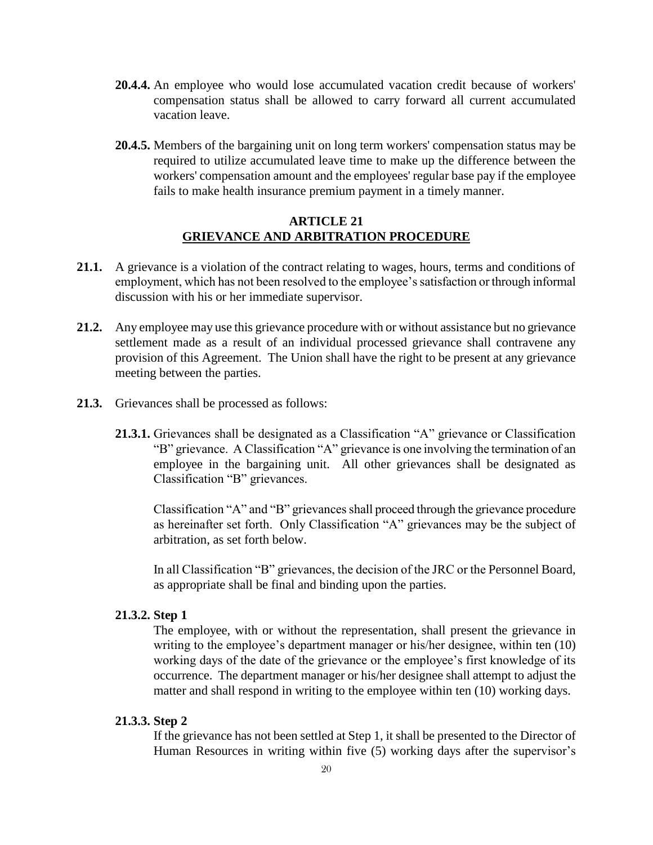- **20.4.4.** An employee who would lose accumulated vacation credit because of workers' compensation status shall be allowed to carry forward all current accumulated vacation leave.
- **20.4.5.** Members of the bargaining unit on long term workers' compensation status may be required to utilize accumulated leave time to make up the difference between the workers' compensation amount and the employees' regular base pay if the employee fails to make health insurance premium payment in a timely manner.

### **ARTICLE 21 GRIEVANCE AND ARBITRATION PROCEDURE**

- <span id="page-19-0"></span>**21.1.** A grievance is a violation of the contract relating to wages, hours, terms and conditions of employment, which has not been resolved to the employee's satisfaction or through informal discussion with his or her immediate supervisor.
- **21.2.** Any employee may use this grievance procedure with or without assistance but no grievance settlement made as a result of an individual processed grievance shall contravene any provision of this Agreement. The Union shall have the right to be present at any grievance meeting between the parties.
- **21.3.** Grievances shall be processed as follows:
	- **21.3.1.** Grievances shall be designated as a Classification "A" grievance or Classification "B" grievance. A Classification "A" grievance is one involving the termination of an employee in the bargaining unit. All other grievances shall be designated as Classification "B" grievances.

Classification "A" and "B" grievances shall proceed through the grievance procedure as hereinafter set forth. Only Classification "A" grievances may be the subject of arbitration, as set forth below.

In all Classification "B" grievances, the decision of the JRC or the Personnel Board, as appropriate shall be final and binding upon the parties.

#### **21.3.2. Step 1**

The employee, with or without the representation, shall present the grievance in writing to the employee's department manager or his/her designee, within ten (10) working days of the date of the grievance or the employee's first knowledge of its occurrence. The department manager or his/her designee shall attempt to adjust the matter and shall respond in writing to the employee within ten (10) working days.

#### **21.3.3. Step 2**

If the grievance has not been settled at Step 1, it shall be presented to the Director of Human Resources in writing within five (5) working days after the supervisor's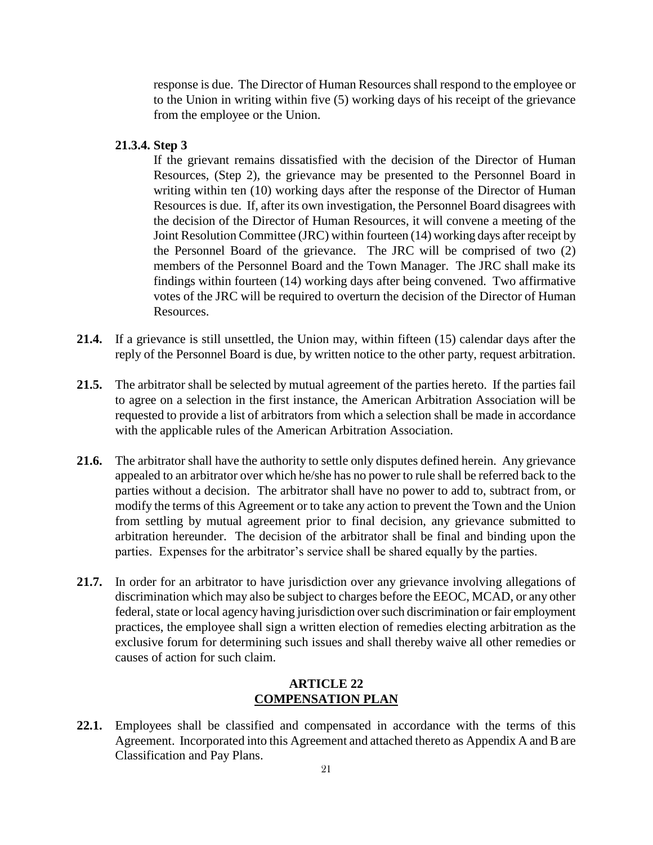response is due. The Director of Human Resources shall respond to the employee or to the Union in writing within five (5) working days of his receipt of the grievance from the employee or the Union.

**21.3.4. Step 3**

If the grievant remains dissatisfied with the decision of the Director of Human Resources, (Step 2), the grievance may be presented to the Personnel Board in writing within ten (10) working days after the response of the Director of Human Resources is due. If, after its own investigation, the Personnel Board disagrees with the decision of the Director of Human Resources, it will convene a meeting of the Joint Resolution Committee (JRC) within fourteen (14) working days after receipt by the Personnel Board of the grievance. The JRC will be comprised of two (2) members of the Personnel Board and the Town Manager. The JRC shall make its findings within fourteen (14) working days after being convened. Two affirmative votes of the JRC will be required to overturn the decision of the Director of Human Resources.

- **21.4.** If a grievance is still unsettled, the Union may, within fifteen (15) calendar days after the reply of the Personnel Board is due, by written notice to the other party, request arbitration.
- **21.5.** The arbitrator shall be selected by mutual agreement of the parties hereto. If the parties fail to agree on a selection in the first instance, the American Arbitration Association will be requested to provide a list of arbitrators from which a selection shall be made in accordance with the applicable rules of the American Arbitration Association.
- **21.6.** The arbitrator shall have the authority to settle only disputes defined herein. Any grievance appealed to an arbitrator over which he/she has no power to rule shall be referred back to the parties without a decision. The arbitrator shall have no power to add to, subtract from, or modify the terms of this Agreement or to take any action to prevent the Town and the Union from settling by mutual agreement prior to final decision, any grievance submitted to arbitration hereunder. The decision of the arbitrator shall be final and binding upon the parties. Expenses for the arbitrator's service shall be shared equally by the parties.
- **21.7.** In order for an arbitrator to have jurisdiction over any grievance involving allegations of discrimination which may also be subject to charges before the EEOC, MCAD, or any other federal, state or local agency having jurisdiction over such discrimination or fair employment practices, the employee shall sign a written election of remedies electing arbitration as the exclusive forum for determining such issues and shall thereby waive all other remedies or causes of action for such claim.

## **ARTICLE 22 COMPENSATION PLAN**

<span id="page-20-0"></span>**22.1.** Employees shall be classified and compensated in accordance with the terms of this Agreement. Incorporated into this Agreement and attached thereto as Appendix A and B are Classification and Pay Plans.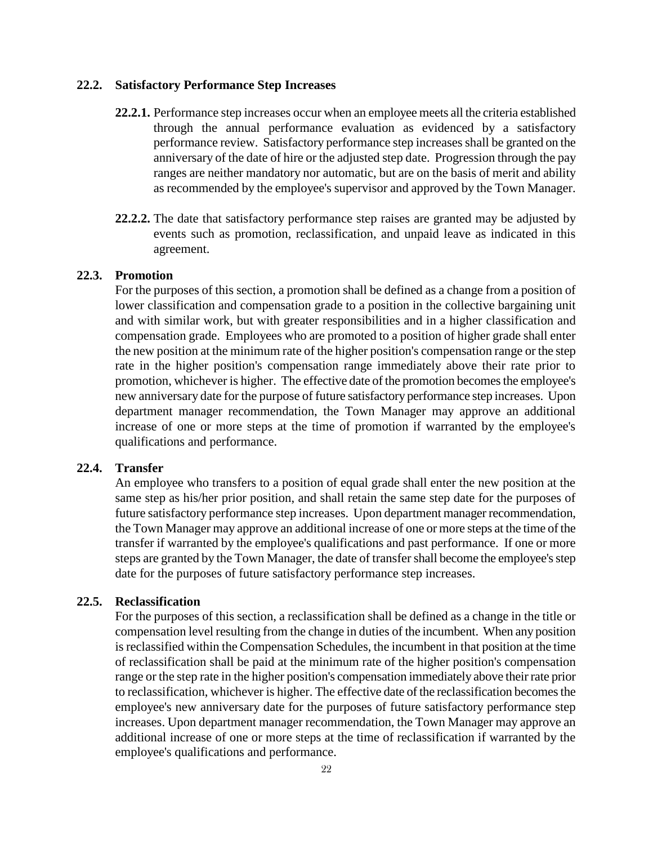#### **22.2. Satisfactory Performance Step Increases**

- **22.2.1.** Performance step increases occur when an employee meets all the criteria established through the annual performance evaluation as evidenced by a satisfactory performance review. Satisfactory performance step increases shall be granted on the anniversary of the date of hire or the adjusted step date. Progression through the pay ranges are neither mandatory nor automatic, but are on the basis of merit and ability as recommended by the employee's supervisor and approved by the Town Manager.
- **22.2.2.** The date that satisfactory performance step raises are granted may be adjusted by events such as promotion, reclassification, and unpaid leave as indicated in this agreement.

### **22.3. Promotion**

For the purposes of this section, a promotion shall be defined as a change from a position of lower classification and compensation grade to a position in the collective bargaining unit and with similar work, but with greater responsibilities and in a higher classification and compensation grade. Employees who are promoted to a position of higher grade shall enter the new position at the minimum rate of the higher position's compensation range or the step rate in the higher position's compensation range immediately above their rate prior to promotion, whichever is higher. The effective date of the promotion becomes the employee's new anniversary date for the purpose of future satisfactory performance step increases. Upon department manager recommendation, the Town Manager may approve an additional increase of one or more steps at the time of promotion if warranted by the employee's qualifications and performance.

#### **22.4. Transfer**

An employee who transfers to a position of equal grade shall enter the new position at the same step as his/her prior position, and shall retain the same step date for the purposes of future satisfactory performance step increases. Upon department manager recommendation, the Town Manager may approve an additional increase of one or more steps at the time of the transfer if warranted by the employee's qualifications and past performance. If one or more steps are granted by the Town Manager, the date of transfer shall become the employee's step date for the purposes of future satisfactory performance step increases.

#### **22.5. Reclassification**

For the purposes of this section, a reclassification shall be defined as a change in the title or compensation level resulting from the change in duties of the incumbent. When any position is reclassified within the Compensation Schedules, the incumbent in that position at the time of reclassification shall be paid at the minimum rate of the higher position's compensation range or the step rate in the higher position's compensation immediately above their rate prior to reclassification, whichever is higher. The effective date of the reclassification becomes the employee's new anniversary date for the purposes of future satisfactory performance step increases. Upon department manager recommendation, the Town Manager may approve an additional increase of one or more steps at the time of reclassification if warranted by the employee's qualifications and performance.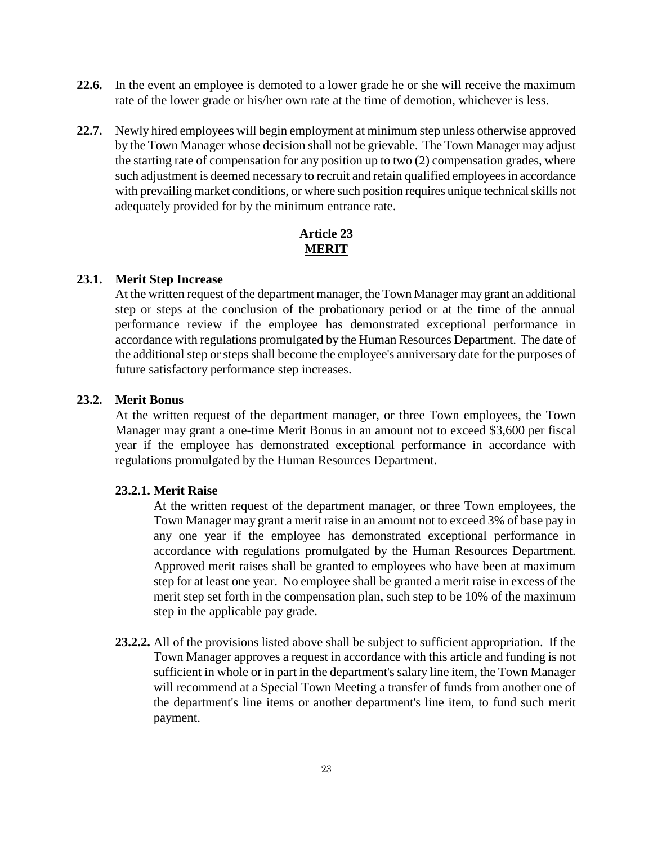- **22.6.** In the event an employee is demoted to a lower grade he or she will receive the maximum rate of the lower grade or his/her own rate at the time of demotion, whichever is less.
- **22.7.** Newly hired employees will begin employment at minimum step unless otherwise approved by the Town Manager whose decision shall not be grievable. The Town Manager may adjust the starting rate of compensation for any position up to two (2) compensation grades, where such adjustment is deemed necessary to recruit and retain qualified employees in accordance with prevailing market conditions, or where such position requires unique technical skills not adequately provided for by the minimum entrance rate.

## **Article 23 MERIT**

#### <span id="page-22-0"></span>**23.1. Merit Step Increase**

At the written request of the department manager, the Town Manager may grant an additional step or steps at the conclusion of the probationary period or at the time of the annual performance review if the employee has demonstrated exceptional performance in accordance with regulations promulgated by the Human Resources Department. The date of the additional step or steps shall become the employee's anniversary date for the purposes of future satisfactory performance step increases.

### **23.2. Merit Bonus**

At the written request of the department manager, or three Town employees, the Town Manager may grant a one-time Merit Bonus in an amount not to exceed \$3,600 per fiscal year if the employee has demonstrated exceptional performance in accordance with regulations promulgated by the Human Resources Department.

## **23.2.1. Merit Raise**

At the written request of the department manager, or three Town employees, the Town Manager may grant a merit raise in an amount not to exceed 3% of base pay in any one year if the employee has demonstrated exceptional performance in accordance with regulations promulgated by the Human Resources Department. Approved merit raises shall be granted to employees who have been at maximum step for at least one year. No employee shall be granted a merit raise in excess of the merit step set forth in the compensation plan, such step to be 10% of the maximum step in the applicable pay grade.

**23.2.2.** All of the provisions listed above shall be subject to sufficient appropriation. If the Town Manager approves a request in accordance with this article and funding is not sufficient in whole or in part in the department's salary line item, the Town Manager will recommend at a Special Town Meeting a transfer of funds from another one of the department's line items or another department's line item, to fund such merit payment.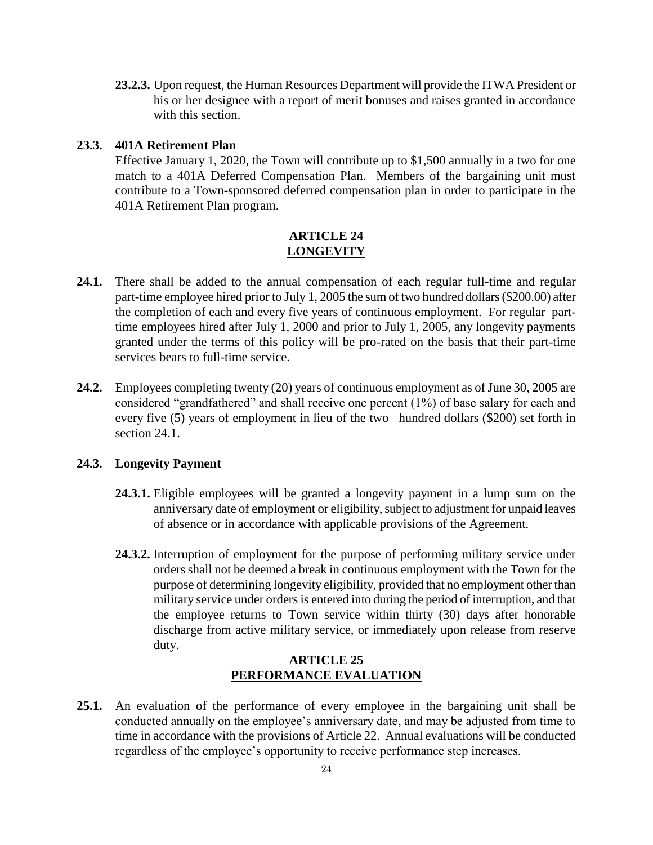**23.2.3.** Upon request, the Human Resources Department will provide the ITWA President or his or her designee with a report of merit bonuses and raises granted in accordance with this section.

#### **23.3. 401A Retirement Plan**

Effective January 1, 2020, the Town will contribute up to \$1,500 annually in a two for one match to a 401A Deferred Compensation Plan. Members of the bargaining unit must contribute to a Town-sponsored deferred compensation plan in order to participate in the 401A Retirement Plan program.

## **ARTICLE 24 LONGEVITY**

- <span id="page-23-0"></span>**24.1.** There shall be added to the annual compensation of each regular full-time and regular part-time employee hired prior to July 1, 2005 the sum of two hundred dollars (\$200.00) after the completion of each and every five years of continuous employment. For regular parttime employees hired after July 1, 2000 and prior to July 1, 2005, any longevity payments granted under the terms of this policy will be pro-rated on the basis that their part-time services bears to full-time service.
- **24.2.** Employees completing twenty (20) years of continuous employment as of June 30, 2005 are considered "grandfathered" and shall receive one percent (1%) of base salary for each and every five (5) years of employment in lieu of the two –hundred dollars (\$200) set forth in section 24.1.

#### **24.3. Longevity Payment**

- **24.3.1.** Eligible employees will be granted a longevity payment in a lump sum on the anniversary date of employment or eligibility, subject to adjustment for unpaid leaves of absence or in accordance with applicable provisions of the Agreement.
- **24.3.2.** Interruption of employment for the purpose of performing military service under orders shall not be deemed a break in continuous employment with the Town for the purpose of determining longevity eligibility, provided that no employment other than military service under orders is entered into during the period of interruption, and that the employee returns to Town service within thirty (30) days after honorable discharge from active military service, or immediately upon release from reserve duty.

### **ARTICLE 25 PERFORMANCE EVALUATION**

<span id="page-23-1"></span>**25.1.** An evaluation of the performance of every employee in the bargaining unit shall be conducted annually on the employee's anniversary date, and may be adjusted from time to time in accordance with the provisions of Article 22. Annual evaluations will be conducted regardless of the employee's opportunity to receive performance step increases.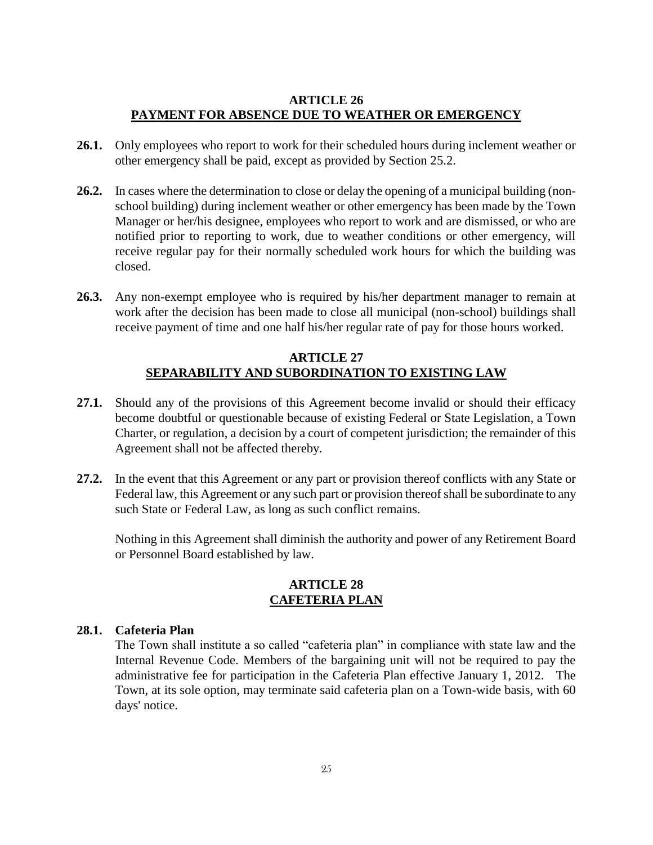## **ARTICLE 26 PAYMENT FOR ABSENCE DUE TO WEATHER OR EMERGENCY**

- <span id="page-24-0"></span>**26.1.** Only employees who report to work for their scheduled hours during inclement weather or other emergency shall be paid, except as provided by Section 25.2.
- **26.2.** In cases where the determination to close or delay the opening of a municipal building (nonschool building) during inclement weather or other emergency has been made by the Town Manager or her/his designee, employees who report to work and are dismissed, or who are notified prior to reporting to work, due to weather conditions or other emergency, will receive regular pay for their normally scheduled work hours for which the building was closed.
- **26.3.** Any non-exempt employee who is required by his/her department manager to remain at work after the decision has been made to close all municipal (non-school) buildings shall receive payment of time and one half his/her regular rate of pay for those hours worked.

## **ARTICLE 27 SEPARABILITY AND SUBORDINATION TO EXISTING LAW**

- <span id="page-24-1"></span>**27.1.** Should any of the provisions of this Agreement become invalid or should their efficacy become doubtful or questionable because of existing Federal or State Legislation, a Town Charter, or regulation, a decision by a court of competent jurisdiction; the remainder of this Agreement shall not be affected thereby.
- **27.2.** In the event that this Agreement or any part or provision thereof conflicts with any State or Federal law, this Agreement or any such part or provision thereof shall be subordinate to any such State or Federal Law, as long as such conflict remains.

Nothing in this Agreement shall diminish the authority and power of any Retirement Board or Personnel Board established by law.

## **ARTICLE 28 CAFETERIA PLAN**

## <span id="page-24-2"></span>**28.1. Cafeteria Plan**

<span id="page-24-3"></span>The Town shall institute a so called "cafeteria plan" in compliance with state law and the Internal Revenue Code. Members of the bargaining unit will not be required to pay the administrative fee for participation in the Cafeteria Plan effective January 1, 2012. The Town, at its sole option, may terminate said cafeteria plan on a Town-wide basis, with 60 days' notice.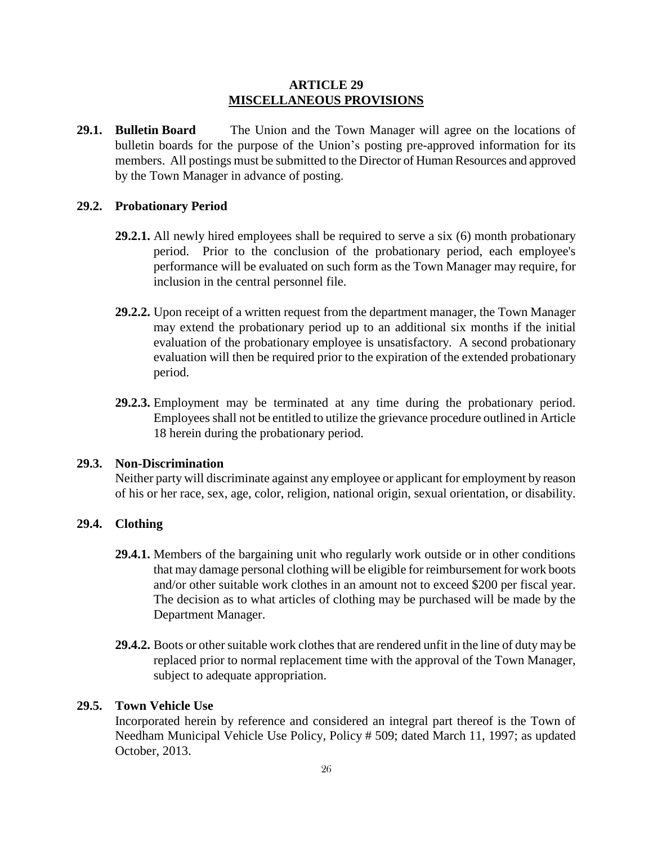### **ARTICLE 29 MISCELLANEOUS PROVISIONS**

**29.1. Bulletin Board** The Union and the Town Manager will agree on the locations of bulletin boards for the purpose of the Union's posting pre-approved information for its members. All postings must be submitted to the Director of Human Resources and approved by the Town Manager in advance of posting.

#### **29.2. Probationary Period**

- **29.2.1.** All newly hired employees shall be required to serve a six (6) month probationary period. Prior to the conclusion of the probationary period, each employee's performance will be evaluated on such form as the Town Manager may require, for inclusion in the central personnel file.
- **29.2.2.** Upon receipt of a written request from the department manager, the Town Manager may extend the probationary period up to an additional six months if the initial evaluation of the probationary employee is unsatisfactory. A second probationary evaluation will then be required prior to the expiration of the extended probationary period.
- **29.2.3.** Employment may be terminated at any time during the probationary period. Employees shall not be entitled to utilize the grievance procedure outlined in Article 18 herein during the probationary period.

#### **29.3. Non-Discrimination**

Neither party will discriminate against any employee or applicant for employment by reason of his or her race, sex, age, color, religion, national origin, sexual orientation, or disability.

## **29.4. Clothing**

- **29.4.1.** Members of the bargaining unit who regularly work outside or in other conditions that may damage personal clothing will be eligible for reimbursement for work boots and/or other suitable work clothes in an amount not to exceed \$200 per fiscal year. The decision as to what articles of clothing may be purchased will be made by the Department Manager.
- **29.4.2.** Boots or other suitable work clothes that are rendered unfit in the line of duty may be replaced prior to normal replacement time with the approval of the Town Manager, subject to adequate appropriation.

## **29.5. Town Vehicle Use**

Incorporated herein by reference and considered an integral part thereof is the Town of Needham Municipal Vehicle Use Policy, Policy # 509; dated March 11, 1997; as updated October, 2013.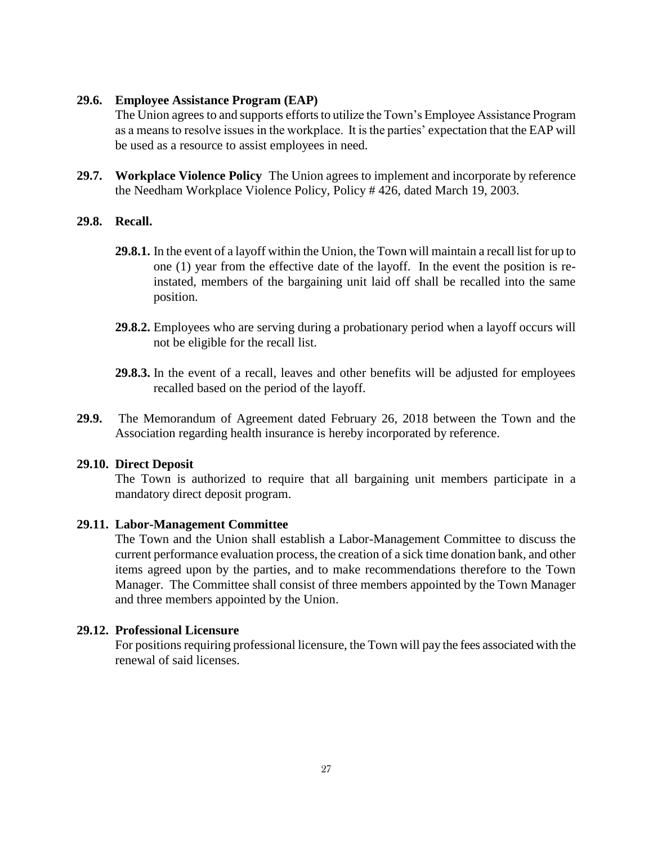### **29.6. Employee Assistance Program (EAP)**

The Union agrees to and supports efforts to utilize the Town's Employee Assistance Program as a means to resolve issues in the workplace. It is the parties' expectation that the EAP will be used as a resource to assist employees in need.

**29.7. Workplace Violence Policy** The Union agrees to implement and incorporate by reference the Needham Workplace Violence Policy, Policy # 426, dated March 19, 2003.

#### **29.8. Recall.**

- **29.8.1.** In the event of a layoff within the Union, the Town will maintain a recall list for up to one (1) year from the effective date of the layoff. In the event the position is reinstated, members of the bargaining unit laid off shall be recalled into the same position.
- **29.8.2.** Employees who are serving during a probationary period when a layoff occurs will not be eligible for the recall list.
- **29.8.3.** In the event of a recall, leaves and other benefits will be adjusted for employees recalled based on the period of the layoff.
- **29.9.** The Memorandum of Agreement dated February 26, 2018 between the Town and the Association regarding health insurance is hereby incorporated by reference.

#### **29.10. Direct Deposit**

The Town is authorized to require that all bargaining unit members participate in a mandatory direct deposit program.

#### **29.11. Labor-Management Committee**

The Town and the Union shall establish a Labor-Management Committee to discuss the current performance evaluation process, the creation of a sick time donation bank, and other items agreed upon by the parties, and to make recommendations therefore to the Town Manager. The Committee shall consist of three members appointed by the Town Manager and three members appointed by the Union.

#### **29.12. Professional Licensure**

For positions requiring professional licensure, the Town will pay the fees associated with the renewal of said licenses.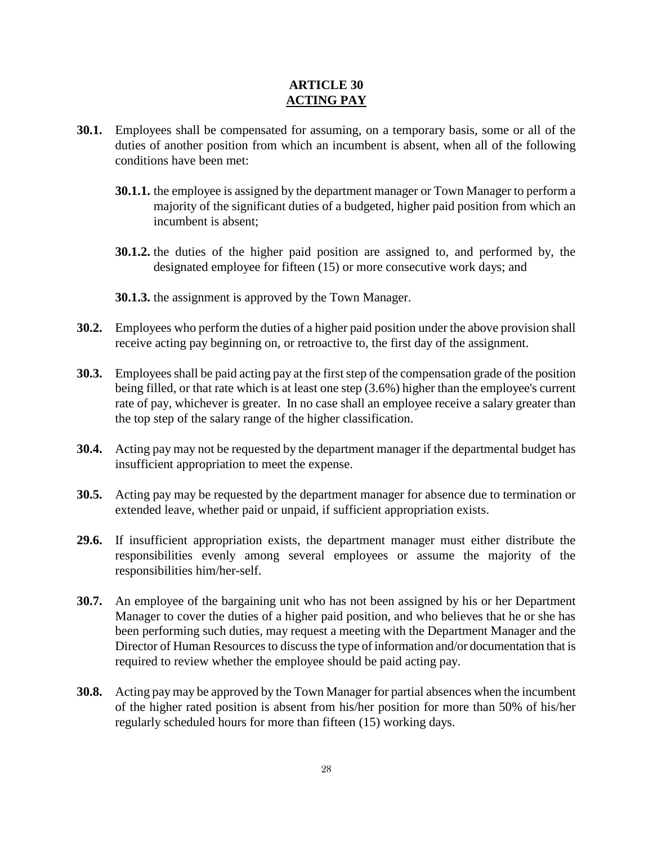# **ARTICLE 30 ACTING PAY**

- <span id="page-27-0"></span>**30.1.** Employees shall be compensated for assuming, on a temporary basis, some or all of the duties of another position from which an incumbent is absent, when all of the following conditions have been met:
	- **30.1.1.** the employee is assigned by the department manager or Town Manager to perform a majority of the significant duties of a budgeted, higher paid position from which an incumbent is absent;
	- **30.1.2.** the duties of the higher paid position are assigned to, and performed by, the designated employee for fifteen (15) or more consecutive work days; and
	- **30.1.3.** the assignment is approved by the Town Manager.
- **30.2.** Employees who perform the duties of a higher paid position under the above provision shall receive acting pay beginning on, or retroactive to, the first day of the assignment.
- **30.3.** Employees shall be paid acting pay at the first step of the compensation grade of the position being filled, or that rate which is at least one step (3.6%) higher than the employee's current rate of pay, whichever is greater. In no case shall an employee receive a salary greater than the top step of the salary range of the higher classification.
- **30.4.** Acting pay may not be requested by the department manager if the departmental budget has insufficient appropriation to meet the expense.
- **30.5.** Acting pay may be requested by the department manager for absence due to termination or extended leave, whether paid or unpaid, if sufficient appropriation exists.
- **29.6.** If insufficient appropriation exists, the department manager must either distribute the responsibilities evenly among several employees or assume the majority of the responsibilities him/her-self.
- **30.7.** An employee of the bargaining unit who has not been assigned by his or her Department Manager to cover the duties of a higher paid position, and who believes that he or she has been performing such duties, may request a meeting with the Department Manager and the Director of Human Resources to discuss the type of information and/or documentation that is required to review whether the employee should be paid acting pay.
- **30.8.** Acting pay may be approved by the Town Manager for partial absences when the incumbent of the higher rated position is absent from his/her position for more than 50% of his/her regularly scheduled hours for more than fifteen (15) working days.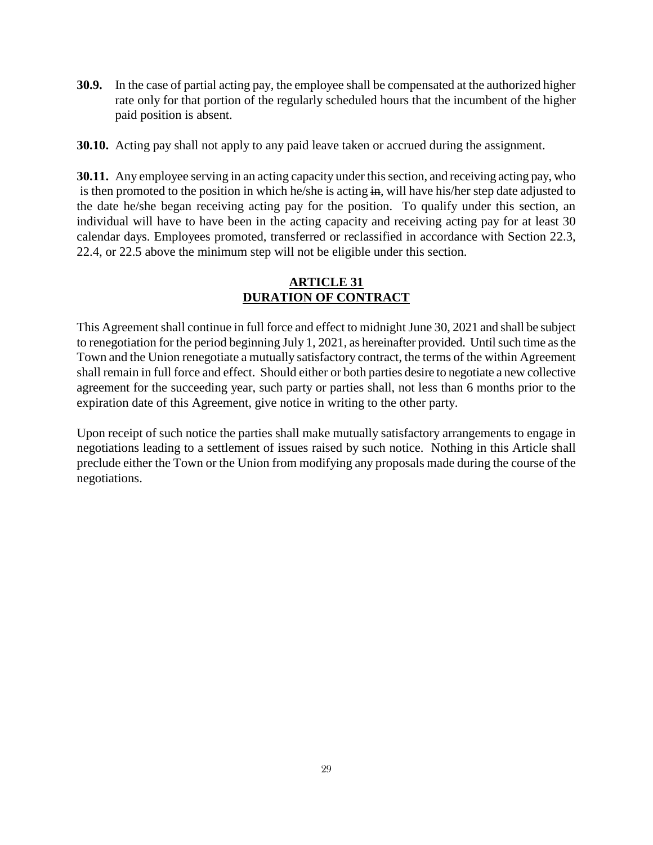**30.9.** In the case of partial acting pay, the employee shall be compensated at the authorized higher rate only for that portion of the regularly scheduled hours that the incumbent of the higher paid position is absent.

**30.10.** Acting pay shall not apply to any paid leave taken or accrued during the assignment.

**30.11.** Any employee serving in an acting capacity under this section, and receiving acting pay, who is then promoted to the position in which he/she is acting in, will have his/her step date adjusted to the date he/she began receiving acting pay for the position. To qualify under this section, an individual will have to have been in the acting capacity and receiving acting pay for at least 30 calendar days. Employees promoted, transferred or reclassified in accordance with Section 22.3, 22.4, or 22.5 above the minimum step will not be eligible under this section.

# **ARTICLE 31 DURATION OF CONTRACT**

<span id="page-28-0"></span>This Agreement shall continue in full force and effect to midnight June 30, 2021 and shall be subject to renegotiation for the period beginning July 1, 2021, as hereinafter provided. Until such time as the Town and the Union renegotiate a mutually satisfactory contract, the terms of the within Agreement shall remain in full force and effect. Should either or both parties desire to negotiate a new collective agreement for the succeeding year, such party or parties shall, not less than 6 months prior to the expiration date of this Agreement, give notice in writing to the other party.

Upon receipt of such notice the parties shall make mutually satisfactory arrangements to engage in negotiations leading to a settlement of issues raised by such notice. Nothing in this Article shall preclude either the Town or the Union from modifying any proposals made during the course of the negotiations.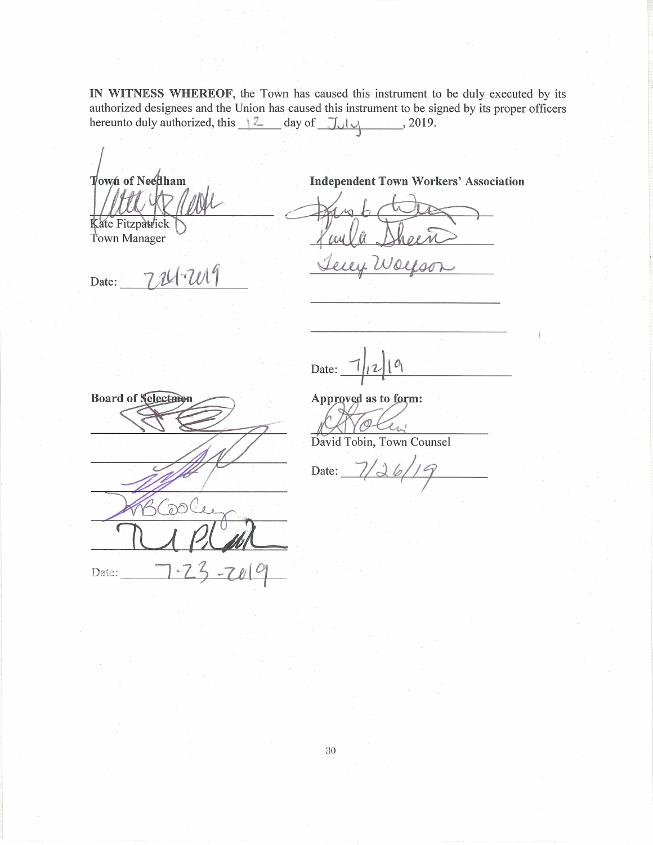IN WITNESS WHEREOF, the Town has caused this instrument to be duly executed by its authorized designees and the Union has caused this instrument to be signed by its proper officers hereunto duly authorized, this  $\frac{2}{2}$  day of  $\frac{7}{4}$ , 2019.

Town of Needham

Kate Fitzpatrick Town Manager

**Board of Selectmen** 

U Q

**Independent Town Workers' Association** 

Date:

19 Date:  $\boxed{\phantom{1}}$ 

Approved as to form:

 $\mathcal{Q}$ 

David Tobin, Town Counsel

Date:

Date:  $\frac{7}{2}$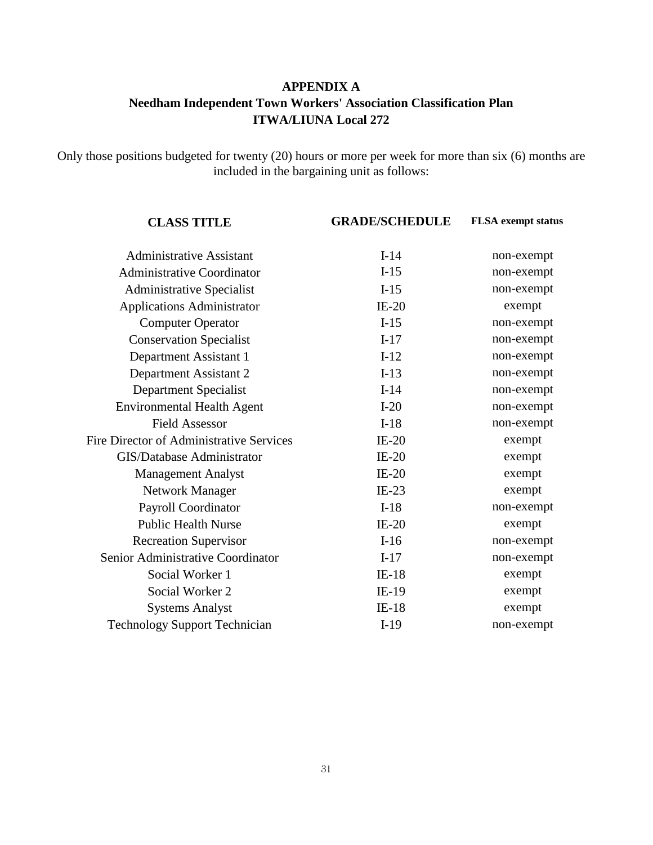# **APPENDIX A Needham Independent Town Workers' Association Classification Plan ITWA/LIUNA Local 272**

<span id="page-30-0"></span>Only those positions budgeted for twenty (20) hours or more per week for more than six (6) months are included in the bargaining unit as follows:

| <b>CLASS TITLE</b>                              | <b>GRADE/SCHEDULE</b> | <b>FLSA</b> exempt status |
|-------------------------------------------------|-----------------------|---------------------------|
| <b>Administrative Assistant</b>                 | $I-14$                | non-exempt                |
| <b>Administrative Coordinator</b>               | $I-15$                | non-exempt                |
| <b>Administrative Specialist</b>                | $I-15$                | non-exempt                |
| <b>Applications Administrator</b>               | $IE-20$               | exempt                    |
| <b>Computer Operator</b>                        | $I-15$                | non-exempt                |
| <b>Conservation Specialist</b>                  | $I-17$                | non-exempt                |
| Department Assistant 1                          | $I-12$                | non-exempt                |
| Department Assistant 2                          | $I-13$                | non-exempt                |
| <b>Department Specialist</b>                    | $I-14$                | non-exempt                |
| <b>Environmental Health Agent</b>               | $I-20$                | non-exempt                |
| <b>Field Assessor</b>                           | $I-18$                | non-exempt                |
| <b>Fire Director of Administrative Services</b> | $IE-20$               | exempt                    |
| <b>GIS/Database Administrator</b>               | $IE-20$               | exempt                    |
| <b>Management Analyst</b>                       | $IE-20$               | exempt                    |
| <b>Network Manager</b>                          | $IE-23$               | exempt                    |
| Payroll Coordinator                             | $I-18$                | non-exempt                |
| <b>Public Health Nurse</b>                      | $IE-20$               | exempt                    |
| <b>Recreation Supervisor</b>                    | $I-16$                | non-exempt                |
| Senior Administrative Coordinator               | $I-17$                | non-exempt                |
| Social Worker 1                                 | $IE-18$               | exempt                    |
| Social Worker 2                                 | $IE-19$               | exempt                    |
| <b>Systems Analyst</b>                          | $IE-18$               | exempt                    |
| <b>Technology Support Technician</b>            | $I-19$                | non-exempt                |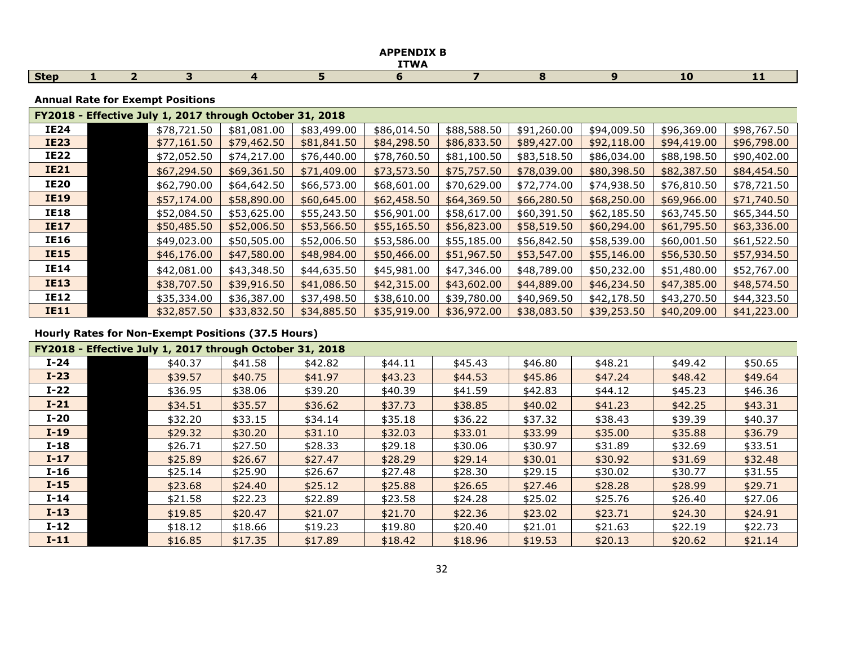|             |  |  | ADDENINTY D<br><b>ITWA</b> |  |     |    |
|-------------|--|--|----------------------------|--|-----|----|
| <b>Step</b> |  |  |                            |  | - - | -- |

### **Annual Rate for Exempt Positions**

|             | FY2018 - Effective July 1, 2017 through October 31, 2018 |             |             |             |             |             |             |             |             |             |  |  |
|-------------|----------------------------------------------------------|-------------|-------------|-------------|-------------|-------------|-------------|-------------|-------------|-------------|--|--|
| <b>IE24</b> |                                                          | \$78,721.50 | \$81,081.00 | \$83,499.00 | \$86,014.50 | \$88,588.50 | \$91,260.00 | \$94,009.50 | \$96,369.00 | \$98,767.50 |  |  |
| <b>IE23</b> |                                                          | \$77,161.50 | \$79,462.50 | \$81,841.50 | \$84,298.50 | \$86,833.50 | \$89,427.00 | \$92,118.00 | \$94,419.00 | \$96,798.00 |  |  |
| <b>IE22</b> |                                                          | \$72,052.50 | \$74,217.00 | \$76,440.00 | \$78,760.50 | \$81,100.50 | \$83,518.50 | \$86,034.00 | \$88,198.50 | \$90,402.00 |  |  |
| <b>IE21</b> |                                                          | \$67,294.50 | \$69,361.50 | \$71,409.00 | \$73,573.50 | \$75,757.50 | \$78,039.00 | \$80,398.50 | \$82,387.50 | \$84,454.50 |  |  |
| <b>IE20</b> |                                                          | \$62,790.00 | \$64,642.50 | \$66,573.00 | \$68,601.00 | \$70,629.00 | \$72,774.00 | \$74,938.50 | \$76,810.50 | \$78,721.50 |  |  |
| <b>IE19</b> |                                                          | \$57,174.00 | \$58,890.00 | \$60,645.00 | \$62,458.50 | \$64,369.50 | \$66,280.50 | \$68,250.00 | \$69,966.00 | \$71,740.50 |  |  |
| <b>IE18</b> |                                                          | \$52,084.50 | \$53,625.00 | \$55,243.50 | \$56,901.00 | \$58,617.00 | \$60,391.50 | \$62,185.50 | \$63,745.50 | \$65,344.50 |  |  |
| <b>IE17</b> |                                                          | \$50,485.50 | \$52,006.50 | \$53,566.50 | \$55,165.50 | \$56,823.00 | \$58,519.50 | \$60,294.00 | \$61,795.50 | \$63,336.00 |  |  |
| <b>IE16</b> |                                                          | \$49,023.00 | \$50,505.00 | \$52,006.50 | \$53,586.00 | \$55,185.00 | \$56,842.50 | \$58,539.00 | \$60,001.50 | \$61,522.50 |  |  |
| <b>IE15</b> |                                                          | \$46,176.00 | \$47,580.00 | \$48,984.00 | \$50,466.00 | \$51,967.50 | \$53,547.00 | \$55,146.00 | \$56,530.50 | \$57,934.50 |  |  |
| <b>IE14</b> |                                                          | \$42,081.00 | \$43,348.50 | \$44,635.50 | \$45,981.00 | \$47,346.00 | \$48,789.00 | \$50,232.00 | \$51,480.00 | \$52,767.00 |  |  |
| <b>IE13</b> |                                                          | \$38,707.50 | \$39,916.50 | \$41,086.50 | \$42,315.00 | \$43,602.00 | \$44,889.00 | \$46,234.50 | \$47,385.00 | \$48,574.50 |  |  |
| <b>IE12</b> |                                                          | \$35,334.00 | \$36,387.00 | \$37,498.50 | \$38,610.00 | \$39,780.00 | \$40,969.50 | \$42,178.50 | \$43,270.50 | \$44,323.50 |  |  |
| <b>IE11</b> |                                                          | \$32,857.50 | \$33,832.50 | \$34,885.50 | \$35,919.00 | \$36,972.00 | \$38,083.50 | \$39,253.50 | \$40,209.00 | \$41,223.00 |  |  |

|        | FY2018 - Effective July 1, 2017 through October 31, 2018 |         |         |         |         |           |         |         |         |  |  |  |  |
|--------|----------------------------------------------------------|---------|---------|---------|---------|-----------|---------|---------|---------|--|--|--|--|
| $I-24$ | \$40.37                                                  | \$41.58 | \$42.82 | \$44.11 | \$45.43 | \$46.80   | \$48.21 | \$49.42 | \$50.65 |  |  |  |  |
| $I-23$ | \$39.57                                                  | \$40.75 | \$41.97 | \$43.23 | \$44.53 | \$45.86   | \$47.24 | \$48.42 | \$49.64 |  |  |  |  |
| $I-22$ | \$36.95                                                  | \$38.06 | \$39.20 | \$40.39 | \$41.59 | \$42.83   | \$44.12 | \$45.23 | \$46.36 |  |  |  |  |
| $I-21$ | \$34.51                                                  | \$35.57 | \$36.62 | \$37.73 | \$38.85 | \$40.02\$ | \$41.23 | \$42.25 | \$43.31 |  |  |  |  |
| $I-20$ | \$32.20                                                  | \$33.15 | \$34.14 | \$35.18 | \$36.22 | \$37.32   | \$38.43 | \$39.39 | \$40.37 |  |  |  |  |
| $I-19$ | \$29.32                                                  | \$30.20 | \$31.10 | \$32.03 | \$33.01 | \$33.99   | \$35.00 | \$35.88 | \$36.79 |  |  |  |  |
| $I-18$ | \$26.71                                                  | \$27.50 | \$28.33 | \$29.18 | \$30.06 | \$30.97   | \$31.89 | \$32.69 | \$33.51 |  |  |  |  |
| $I-17$ | \$25.89                                                  | \$26.67 | \$27.47 | \$28.29 | \$29.14 | \$30.01   | \$30.92 | \$31.69 | \$32.48 |  |  |  |  |
| $I-16$ | \$25.14                                                  | \$25.90 | \$26.67 | \$27.48 | \$28.30 | \$29.15   | \$30.02 | \$30.77 | \$31.55 |  |  |  |  |
| $I-15$ | \$23.68                                                  | \$24.40 | \$25.12 | \$25.88 | \$26.65 | \$27.46   | \$28.28 | \$28.99 | \$29.71 |  |  |  |  |
| $I-14$ | \$21.58                                                  | \$22.23 | \$22.89 | \$23.58 | \$24.28 | \$25.02   | \$25.76 | \$26.40 | \$27.06 |  |  |  |  |
| $I-13$ | \$19.85                                                  | \$20.47 | \$21.07 | \$21.70 | \$22.36 | \$23.02   | \$23.71 | \$24.30 | \$24.91 |  |  |  |  |
| $I-12$ | \$18.12                                                  | \$18.66 | \$19.23 | \$19.80 | \$20.40 | \$21.01   | \$21.63 | \$22.19 | \$22.73 |  |  |  |  |
| $I-11$ | \$16.85                                                  | \$17.35 | \$17.89 | \$18.42 | \$18.96 | \$19.53   | \$20.13 | \$20.62 | \$21.14 |  |  |  |  |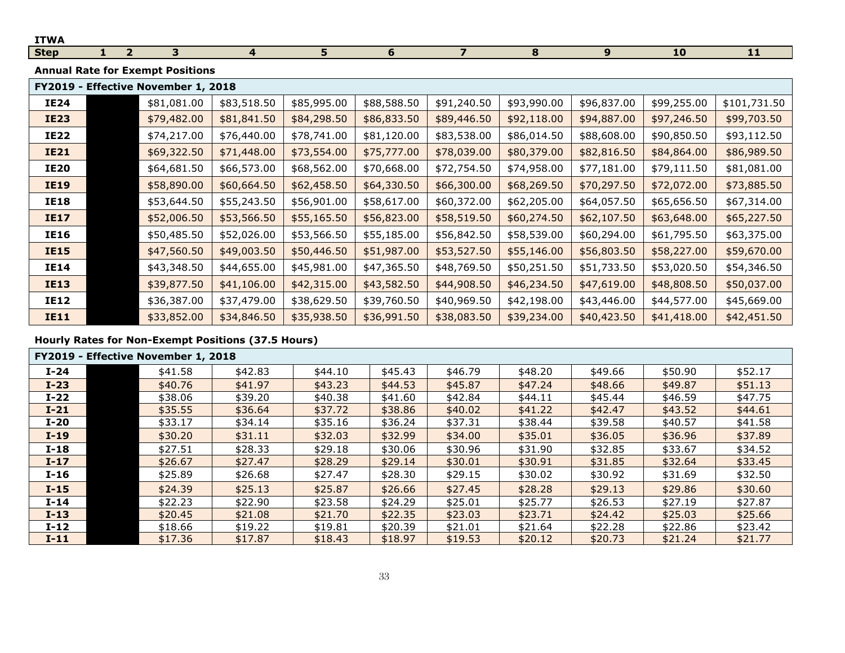| <b>ITWA</b> |                                         |                                     |                |             |             |                |             |             |             |              |  |  |
|-------------|-----------------------------------------|-------------------------------------|----------------|-------------|-------------|----------------|-------------|-------------|-------------|--------------|--|--|
| <b>Step</b> | 2 <sup>1</sup>                          | 3                                   | $\overline{4}$ | 5           | 6           | $\overline{7}$ | 8           | 9           | 10          | 11           |  |  |
|             | <b>Annual Rate for Exempt Positions</b> |                                     |                |             |             |                |             |             |             |              |  |  |
|             |                                         | FY2019 - Effective November 1, 2018 |                |             |             |                |             |             |             |              |  |  |
| <b>IE24</b> |                                         | \$81,081.00                         | \$83,518.50    | \$85,995.00 | \$88,588.50 | \$91,240.50    | \$93,990.00 | \$96,837.00 | \$99,255.00 | \$101,731.50 |  |  |
| <b>IE23</b> |                                         | \$79,482.00                         | \$81,841.50    | \$84,298.50 | \$86,833.50 | \$89,446.50    | \$92,118.00 | \$94,887.00 | \$97,246.50 | \$99,703.50  |  |  |
| <b>IE22</b> |                                         | \$74,217.00                         | \$76,440.00    | \$78,741.00 | \$81,120.00 | \$83,538.00    | \$86,014.50 | \$88,608.00 | \$90,850.50 | \$93,112.50  |  |  |
| <b>IE21</b> |                                         | \$69,322.50                         | \$71,448.00    | \$73,554.00 | \$75,777.00 | \$78,039.00    | \$80,379.00 | \$82,816.50 | \$84,864.00 | \$86,989.50  |  |  |
| <b>IE20</b> |                                         | \$64,681.50                         | \$66,573.00    | \$68,562.00 | \$70,668.00 | \$72,754.50    | \$74,958.00 | \$77,181.00 | \$79,111.50 | \$81,081.00  |  |  |
| <b>IE19</b> |                                         | \$58,890.00                         | \$60,664.50    | \$62,458.50 | \$64,330.50 | \$66,300.00    | \$68,269.50 | \$70,297.50 | \$72,072.00 | \$73,885.50  |  |  |
| <b>IE18</b> |                                         | \$53,644.50                         | \$55,243.50    | \$56,901.00 | \$58,617.00 | \$60,372.00    | \$62,205.00 | \$64,057.50 | \$65,656.50 | \$67,314.00  |  |  |
| <b>IE17</b> |                                         | \$52,006.50                         | \$53,566.50    | \$55,165.50 | \$56,823.00 | \$58,519.50    | \$60,274.50 | \$62,107.50 | \$63,648.00 | \$65,227.50  |  |  |
| <b>IE16</b> |                                         | \$50,485.50                         | \$52,026.00    | \$53,566.50 | \$55,185.00 | \$56,842.50    | \$58,539.00 | \$60,294.00 | \$61,795.50 | \$63,375.00  |  |  |
| <b>IE15</b> |                                         | \$47,560.50                         | \$49,003.50    | \$50,446.50 | \$51,987.00 | \$53,527.50    | \$55,146.00 | \$56,803.50 | \$58,227.00 | \$59,670.00  |  |  |
| <b>IE14</b> |                                         | \$43,348.50                         | \$44,655.00    | \$45,981.00 | \$47,365.50 | \$48,769.50    | \$50,251.50 | \$51,733.50 | \$53,020.50 | \$54,346.50  |  |  |
| <b>IE13</b> |                                         | \$39,877.50                         | \$41,106.00    | \$42,315.00 | \$43,582.50 | \$44,908.50    | \$46,234.50 | \$47,619.00 | \$48,808.50 | \$50,037.00  |  |  |
| <b>IE12</b> |                                         | \$36,387.00                         | \$37,479.00    | \$38,629.50 | \$39,760.50 | \$40,969.50    | \$42,198.00 | \$43,446.00 | \$44,577.00 | \$45,669.00  |  |  |
| <b>IE11</b> |                                         | \$33,852.00                         | \$34,846.50    | \$35,938.50 | \$36,991.50 | \$38,083.50    | \$39,234.00 | \$40,423.50 | \$41,418.00 | \$42,451.50  |  |  |

|        | FY2019 - Effective November 1, 2018 |         |         |         |           |         |         |         |         |  |  |  |
|--------|-------------------------------------|---------|---------|---------|-----------|---------|---------|---------|---------|--|--|--|
| $I-24$ | \$41.58                             | \$42.83 | \$44.10 | \$45.43 | \$46.79   | \$48.20 | \$49.66 | \$50.90 | \$52.17 |  |  |  |
| $I-23$ | \$40.76                             | \$41.97 | \$43.23 | \$44.53 | \$45.87   | \$47.24 | \$48.66 | \$49.87 | \$51.13 |  |  |  |
| $I-22$ | \$38.06                             | \$39.20 | \$40.38 | \$41.60 | \$42.84   | \$44.11 | \$45.44 | \$46.59 | \$47.75 |  |  |  |
| $I-21$ | \$35.55                             | \$36.64 | \$37.72 | \$38.86 | \$40.02\$ | \$41.22 | \$42.47 | \$43.52 | \$44.61 |  |  |  |
| $I-20$ | \$33.17                             | \$34.14 | \$35.16 | \$36.24 | \$37.31   | \$38.44 | \$39.58 | \$40.57 | \$41.58 |  |  |  |
| $I-19$ | \$30.20                             | \$31.11 | \$32.03 | \$32.99 | \$34.00   | \$35.01 | \$36.05 | \$36.96 | \$37.89 |  |  |  |
| $I-18$ | \$27.51                             | \$28.33 | \$29.18 | \$30.06 | \$30.96   | \$31.90 | \$32.85 | \$33.67 | \$34.52 |  |  |  |
| $I-17$ | \$26.67                             | \$27.47 | \$28.29 | \$29.14 | \$30.01   | \$30.91 | \$31.85 | \$32.64 | \$33.45 |  |  |  |
| $I-16$ | \$25.89                             | \$26.68 | \$27.47 | \$28.30 | \$29.15   | \$30.02 | \$30.92 | \$31.69 | \$32.50 |  |  |  |
| $I-15$ | \$24.39                             | \$25.13 | \$25.87 | \$26.66 | \$27.45   | \$28.28 | \$29.13 | \$29.86 | \$30.60 |  |  |  |
| $I-14$ | \$22.23                             | \$22.90 | \$23.58 | \$24.29 | \$25.01   | \$25.77 | \$26.53 | \$27.19 | \$27.87 |  |  |  |
| $I-13$ | \$20.45                             | \$21.08 | \$21.70 | \$22.35 | \$23.03   | \$23.71 | \$24.42 | \$25.03 | \$25.66 |  |  |  |
| $I-12$ | \$18.66                             | \$19.22 | \$19.81 | \$20.39 | \$21.01   | \$21.64 | \$22.28 | \$22.86 | \$23.42 |  |  |  |
| $I-11$ | \$17.36                             | \$17.87 | \$18.43 | \$18.97 | \$19.53   | \$20.12 | \$20.73 | \$21.24 | \$21.77 |  |  |  |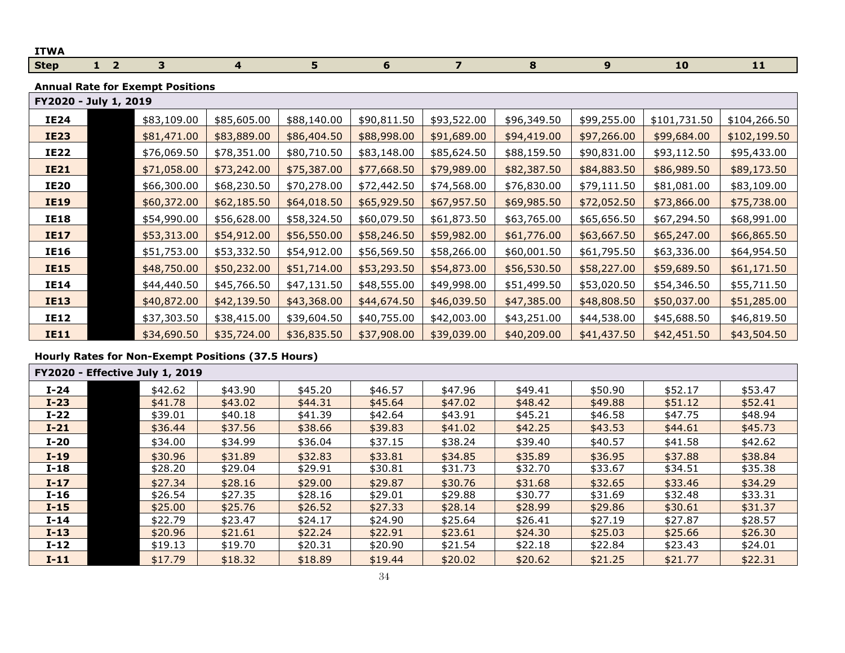| <b>ITWA</b>           |                                         |  |             |             |                |             |                         |             |                  |              |              |  |
|-----------------------|-----------------------------------------|--|-------------|-------------|----------------|-------------|-------------------------|-------------|------------------|--------------|--------------|--|
| <b>Step</b>           | $1\quad 2$                              |  | 3           | 4           | 5 <sup>1</sup> | 6           | $\overline{\mathbf{z}}$ | 8           | $\boldsymbol{9}$ | 10           | 11           |  |
|                       | <b>Annual Rate for Exempt Positions</b> |  |             |             |                |             |                         |             |                  |              |              |  |
| FY2020 - July 1, 2019 |                                         |  |             |             |                |             |                         |             |                  |              |              |  |
| <b>IE24</b>           |                                         |  | \$83,109.00 | \$85,605.00 | \$88,140.00    | \$90,811.50 | \$93,522.00             | \$96,349.50 | \$99,255.00      | \$101,731.50 | \$104,266.50 |  |
| <b>IE23</b>           |                                         |  | \$81,471.00 | \$83,889.00 | \$86,404.50    | \$88,998.00 | \$91,689.00             | \$94,419.00 | \$97,266.00      | \$99,684.00  | \$102,199.50 |  |
| <b>IE22</b>           |                                         |  | \$76,069.50 | \$78,351.00 | \$80,710.50    | \$83,148.00 | \$85,624.50             | \$88,159.50 | \$90,831.00      | \$93,112.50  | \$95,433.00  |  |
| <b>IE21</b>           |                                         |  | \$71,058.00 | \$73,242.00 | \$75,387.00    | \$77,668.50 | \$79,989.00             | \$82,387.50 | \$84,883.50      | \$86,989.50  | \$89,173.50  |  |
| <b>IE20</b>           |                                         |  | \$66,300.00 | \$68,230.50 | \$70,278.00    | \$72,442.50 | \$74,568.00             | \$76,830.00 | \$79,111.50      | \$81,081.00  | \$83,109.00  |  |
| <b>IE19</b>           |                                         |  | \$60,372.00 | \$62,185.50 | \$64,018.50    | \$65,929.50 | \$67,957.50             | \$69,985.50 | \$72,052.50      | \$73,866.00  | \$75,738.00  |  |
| <b>IE18</b>           |                                         |  | \$54,990.00 | \$56,628.00 | \$58,324.50    | \$60,079.50 | \$61,873.50             | \$63,765.00 | \$65,656.50      | \$67,294.50  | \$68,991.00  |  |
| <b>IE17</b>           |                                         |  | \$53,313.00 | \$54,912.00 | \$56,550.00    | \$58,246.50 | \$59,982.00             | \$61,776.00 | \$63,667.50      | \$65,247.00  | \$66,865.50  |  |
| <b>IE16</b>           |                                         |  | \$51,753.00 | \$53,332.50 | \$54,912.00    | \$56,569.50 | \$58,266.00             | \$60,001.50 | \$61,795.50      | \$63,336.00  | \$64,954.50  |  |
| <b>IE15</b>           |                                         |  | \$48,750.00 | \$50,232.00 | \$51,714.00    | \$53,293.50 | \$54,873.00             | \$56,530.50 | \$58,227.00      | \$59,689.50  | \$61,171.50  |  |
| IE14                  |                                         |  | \$44,440.50 | \$45,766.50 | \$47,131.50    | \$48,555.00 | \$49,998.00             | \$51,499.50 | \$53,020.50      | \$54,346.50  | \$55,711.50  |  |
| <b>IE13</b>           |                                         |  | \$40,872.00 | \$42,139.50 | \$43,368.00    | \$44,674.50 | \$46,039.50             | \$47,385.00 | \$48,808.50      | \$50,037.00  | \$51,285.00  |  |
| <b>IE12</b>           |                                         |  | \$37,303.50 | \$38,415.00 | \$39,604.50    | \$40,755.00 | \$42,003.00             | \$43,251.00 | \$44,538.00      | \$45,688.50  | \$46,819.50  |  |
| <b>IE11</b>           |                                         |  | \$34,690.50 | \$35,724.00 | \$36,835.50    | \$37,908.00 | \$39,039.00             | \$40,209.00 | \$41,437.50      | \$42,451.50  | \$43,504.50  |  |

|        | <b>FY2020 - Effective July 1, 2019</b> |         |         |         |         |         |         |         |         |
|--------|----------------------------------------|---------|---------|---------|---------|---------|---------|---------|---------|
| $I-24$ | \$42.62                                | \$43.90 | \$45.20 | \$46.57 | \$47.96 | \$49.41 | \$50.90 | \$52.17 | \$53.47 |
| $I-23$ | \$41.78                                | \$43.02 | \$44.31 | \$45.64 | \$47.02 | \$48.42 | \$49.88 | \$51.12 | \$52.41 |
| $I-22$ | \$39.01                                | \$40.18 | \$41.39 | \$42.64 | \$43.91 | \$45.21 | \$46.58 | \$47.75 | \$48.94 |
| $I-21$ | \$36.44                                | \$37.56 | \$38.66 | \$39.83 | \$41.02 | \$42.25 | \$43.53 | \$44.61 | \$45.73 |
| $I-20$ | \$34.00                                | \$34.99 | \$36.04 | \$37.15 | \$38.24 | \$39.40 | \$40.57 | \$41.58 | \$42.62 |
| $I-19$ | \$30.96                                | \$31.89 | \$32.83 | \$33.81 | \$34.85 | \$35.89 | \$36.95 | \$37.88 | \$38.84 |
| $I-18$ | \$28.20                                | \$29.04 | \$29.91 | \$30.81 | \$31.73 | \$32.70 | \$33.67 | \$34.51 | \$35.38 |
| $I-17$ | \$27.34                                | \$28.16 | \$29.00 | \$29.87 | \$30.76 | \$31.68 | \$32.65 | \$33.46 | \$34.29 |
| $I-16$ | \$26.54                                | \$27.35 | \$28.16 | \$29.01 | \$29.88 | \$30.77 | \$31.69 | \$32.48 | \$33.31 |
| $I-15$ | \$25.00                                | \$25.76 | \$26.52 | \$27.33 | \$28.14 | \$28.99 | \$29.86 | \$30.61 | \$31.37 |
| $I-14$ | \$22.79                                | \$23.47 | \$24.17 | \$24.90 | \$25.64 | \$26.41 | \$27.19 | \$27.87 | \$28.57 |
| $I-13$ | \$20.96                                | \$21.61 | \$22.24 | \$22.91 | \$23.61 | \$24.30 | \$25.03 | \$25.66 | \$26.30 |
| $I-12$ | \$19.13                                | \$19.70 | \$20.31 | \$20.90 | \$21.54 | \$22.18 | \$22.84 | \$23.43 | \$24.01 |
| $I-11$ | \$17.79                                | \$18.32 | \$18.89 | \$19.44 | \$20.02 | \$20.62 | \$21.25 | \$21.77 | \$22.31 |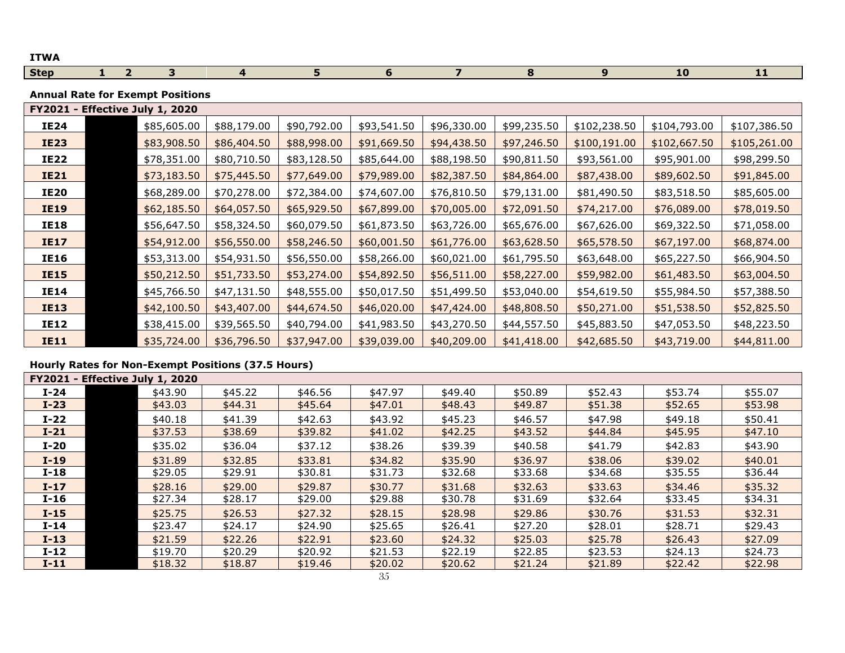| <b>ITWA</b> |  |  |  |  |    |    |
|-------------|--|--|--|--|----|----|
| <b>Step</b> |  |  |  |  | -- | -- |

**Annual Rate for Exempt Positions**

| - Effective July 1, 2020<br><b>FY2021</b> |             |             |             |             |             |             |              |              |              |
|-------------------------------------------|-------------|-------------|-------------|-------------|-------------|-------------|--------------|--------------|--------------|
| <b>IE24</b>                               | \$85,605.00 | \$88,179.00 | \$90,792.00 | \$93,541.50 | \$96,330.00 | \$99,235.50 | \$102,238.50 | \$104,793.00 | \$107,386.50 |
| <b>IE23</b>                               | \$83,908.50 | \$86,404.50 | \$88,998.00 | \$91,669.50 | \$94,438.50 | \$97,246.50 | \$100,191.00 | \$102,667.50 | \$105,261.00 |
| IE22                                      | \$78,351.00 | \$80,710.50 | \$83,128.50 | \$85,644.00 | \$88,198.50 | \$90,811.50 | \$93,561.00  | \$95,901.00  | \$98,299.50  |
| <b>IE21</b>                               | \$73,183.50 | \$75,445.50 | \$77,649.00 | \$79,989.00 | \$82,387.50 | \$84,864.00 | \$87,438.00  | \$89,602.50  | \$91,845.00  |
| <b>IE20</b>                               | \$68,289.00 | \$70,278.00 | \$72,384.00 | \$74,607.00 | \$76,810.50 | \$79,131.00 | \$81,490.50  | \$83,518.50  | \$85,605.00  |
| <b>IE19</b>                               | \$62,185.50 | \$64,057.50 | \$65,929.50 | \$67,899.00 | \$70,005.00 | \$72,091.50 | \$74,217.00  | \$76,089.00  | \$78,019.50  |
| IE18                                      | \$56,647.50 | \$58,324.50 | \$60,079.50 | \$61,873.50 | \$63,726.00 | \$65,676.00 | \$67,626.00  | \$69,322.50  | \$71,058.00  |
| <b>IE17</b>                               | \$54,912.00 | \$56,550.00 | \$58,246.50 | \$60,001.50 | \$61,776.00 | \$63,628.50 | \$65,578.50  | \$67,197.00  | \$68,874.00  |
| IE16                                      | \$53,313.00 | \$54,931.50 | \$56,550.00 | \$58,266.00 | \$60,021.00 | \$61,795.50 | \$63,648.00  | \$65,227.50  | \$66,904.50  |
| <b>IE15</b>                               | \$50,212.50 | \$51,733.50 | \$53,274.00 | \$54,892.50 | \$56,511.00 | \$58,227.00 | \$59,982.00  | \$61,483.50  | \$63,004.50  |
| IE14                                      | \$45,766.50 | \$47,131.50 | \$48,555.00 | \$50,017.50 | \$51,499.50 | \$53,040.00 | \$54,619.50  | \$55,984.50  | \$57,388.50  |
| <b>IE13</b>                               | \$42,100.50 | \$43,407.00 | \$44,674.50 | \$46,020.00 | \$47,424.00 | \$48,808.50 | \$50,271.00  | \$51,538.50  | \$52,825.50  |
| IE12                                      | \$38,415.00 | \$39,565.50 | \$40,794.00 | \$41,983.50 | \$43,270.50 | \$44,557.50 | \$45,883.50  | \$47,053.50  | \$48,223.50  |
| <b>IE11</b>                               | \$35,724.00 | \$36,796.50 | \$37,947.00 | \$39,039.00 | \$40,209.00 | \$41,418.00 | \$42,685.50  | \$43,719.00  | \$44,811.00  |

| <b>FY2021 - Effective July 1, 2020</b> |         |         |         |         |         |         |         |         |         |
|----------------------------------------|---------|---------|---------|---------|---------|---------|---------|---------|---------|
| $I-24$                                 | \$43.90 | \$45.22 | \$46.56 | \$47.97 | \$49.40 | \$50.89 | \$52.43 | \$53.74 | \$55.07 |
| $I-23$                                 | \$43.03 | \$44.31 | \$45.64 | \$47.01 | \$48.43 | \$49.87 | \$51.38 | \$52.65 | \$53.98 |
| $I-22$                                 | \$40.18 | \$41.39 | \$42.63 | \$43.92 | \$45.23 | \$46.57 | \$47.98 | \$49.18 | \$50.41 |
| $I-21$                                 | \$37.53 | \$38.69 | \$39.82 | \$41.02 | \$42.25 | \$43.52 | \$44.84 | \$45.95 | \$47.10 |
| $I-20$                                 | \$35.02 | \$36.04 | \$37.12 | \$38.26 | \$39.39 | \$40.58 | \$41.79 | \$42.83 | \$43.90 |
| $I-19$                                 | \$31.89 | \$32.85 | \$33.81 | \$34.82 | \$35.90 | \$36.97 | \$38.06 | \$39.02 | \$40.01 |
| $I-18$                                 | \$29.05 | \$29.91 | \$30.81 | \$31.73 | \$32.68 | \$33.68 | \$34.68 | \$35.55 | \$36.44 |
| $I-17$                                 | \$28.16 | \$29.00 | \$29.87 | \$30.77 | \$31.68 | \$32.63 | \$33.63 | \$34.46 | \$35.32 |
| $I-16$                                 | \$27.34 | \$28.17 | \$29.00 | \$29.88 | \$30.78 | \$31.69 | \$32.64 | \$33.45 | \$34.31 |
| $I-15$                                 | \$25.75 | \$26.53 | \$27.32 | \$28.15 | \$28.98 | \$29.86 | \$30.76 | \$31.53 | \$32.31 |
| $I-14$                                 | \$23.47 | \$24.17 | \$24.90 | \$25.65 | \$26.41 | \$27.20 | \$28.01 | \$28.71 | \$29.43 |
| $I-13$                                 | \$21.59 | \$22.26 | \$22.91 | \$23.60 | \$24.32 | \$25.03 | \$25.78 | \$26.43 | \$27.09 |
| $I-12$                                 | \$19.70 | \$20.29 | \$20.92 | \$21.53 | \$22.19 | \$22.85 | \$23.53 | \$24.13 | \$24.73 |
| $I-11$                                 | \$18.32 | \$18.87 | \$19.46 | \$20.02 | \$20.62 | \$21.24 | \$21.89 | \$22.42 | \$22.98 |